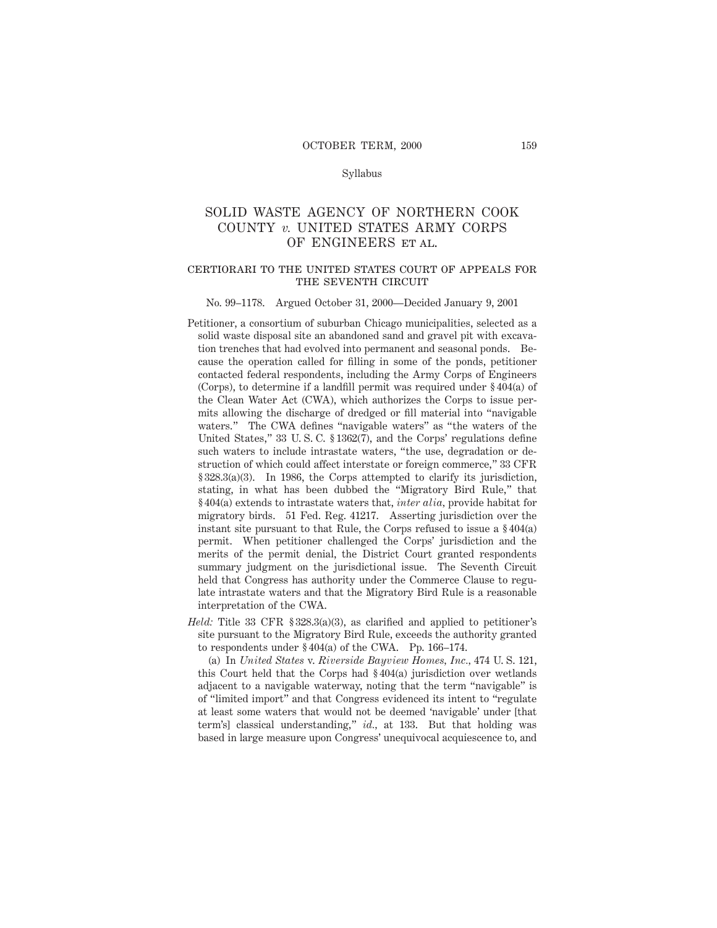#### Syllabus

## SOLID WASTE AGENCY OF NORTHERN COOK COUNTY *v.* UNITED STATES ARMY CORPS OF ENGINEERS ET AL.

## certiorari to the united states court of appeals for THE SEVENTH CIRCUIT

#### No. 99–1178. Argued October 31, 2000—Decided January 9, 2001

- Petitioner, a consortium of suburban Chicago municipalities, selected as a solid waste disposal site an abandoned sand and gravel pit with excavation trenches that had evolved into permanent and seasonal ponds. Because the operation called for filling in some of the ponds, petitioner contacted federal respondents, including the Army Corps of Engineers (Corps), to determine if a landfill permit was required under § 404(a) of the Clean Water Act (CWA), which authorizes the Corps to issue permits allowing the discharge of dredged or fill material into "navigable waters." The CWA defines "navigable waters" as "the waters of the United States," 33 U. S. C. § 1362(7), and the Corps' regulations define such waters to include intrastate waters, "the use, degradation or destruction of which could affect interstate or foreign commerce," 33 CFR § 328.3(a)(3). In 1986, the Corps attempted to clarify its jurisdiction, stating, in what has been dubbed the "Migratory Bird Rule," that § 404(a) extends to intrastate waters that, *inter alia,* provide habitat for migratory birds. 51 Fed. Reg. 41217. Asserting jurisdiction over the instant site pursuant to that Rule, the Corps refused to issue a § 404(a) permit. When petitioner challenged the Corps' jurisdiction and the merits of the permit denial, the District Court granted respondents summary judgment on the jurisdictional issue. The Seventh Circuit held that Congress has authority under the Commerce Clause to regulate intrastate waters and that the Migratory Bird Rule is a reasonable interpretation of the CWA.
- *Held:* Title 33 CFR § 328.3(a)(3), as clarified and applied to petitioner's site pursuant to the Migratory Bird Rule, exceeds the authority granted to respondents under § 404(a) of the CWA. Pp. 166–174.

(a) In *United States* v. *Riverside Bayview Homes, Inc.,* 474 U. S. 121, this Court held that the Corps had § 404(a) jurisdiction over wetlands adjacent to a navigable waterway, noting that the term "navigable" is of "limited import" and that Congress evidenced its intent to "regulate at least some waters that would not be deemed 'navigable' under [that term's] classical understanding," *id.,* at 133. But that holding was based in large measure upon Congress' unequivocal acquiescence to, and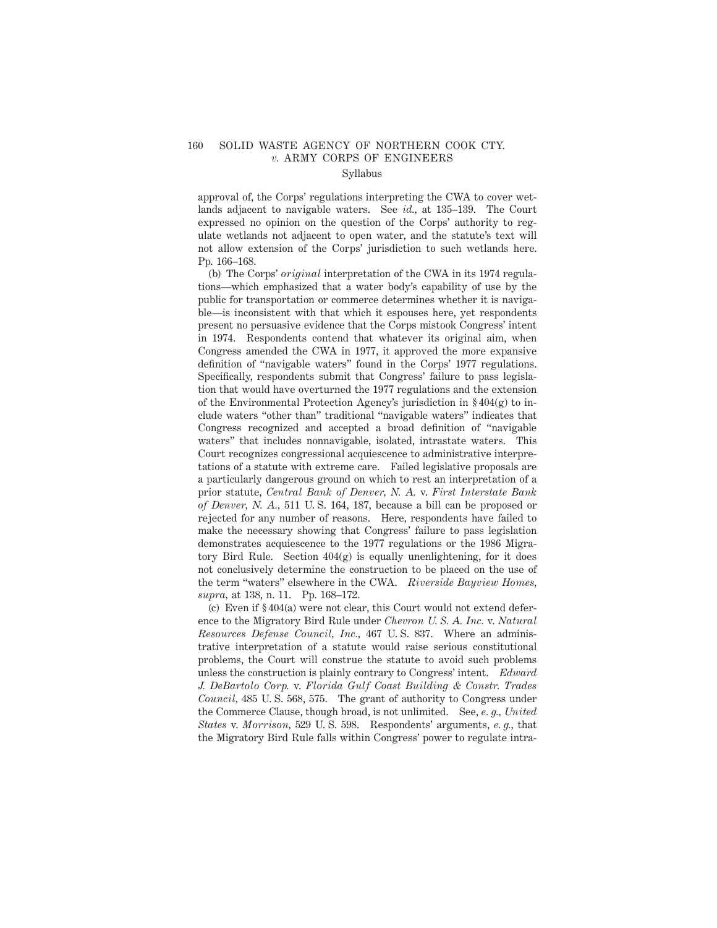# 160 SOLID WASTE AGENCY OF NORTHERN COOK CTY. *v.* ARMY CORPS OF ENGINEERS

## Syllabus

approval of, the Corps' regulations interpreting the CWA to cover wetlands adjacent to navigable waters. See *id.,* at 135–139. The Court expressed no opinion on the question of the Corps' authority to regulate wetlands not adjacent to open water, and the statute's text will not allow extension of the Corps' jurisdiction to such wetlands here. Pp. 166–168.

(b) The Corps' *original* interpretation of the CWA in its 1974 regulations—which emphasized that a water body's capability of use by the public for transportation or commerce determines whether it is navigable—is inconsistent with that which it espouses here, yet respondents present no persuasive evidence that the Corps mistook Congress' intent in 1974. Respondents contend that whatever its original aim, when Congress amended the CWA in 1977, it approved the more expansive definition of "navigable waters" found in the Corps' 1977 regulations. Specifically, respondents submit that Congress' failure to pass legislation that would have overturned the 1977 regulations and the extension of the Environmental Protection Agency's jurisdiction in  $\S 404(g)$  to include waters "other than" traditional "navigable waters" indicates that Congress recognized and accepted a broad definition of "navigable waters" that includes nonnavigable, isolated, intrastate waters. This Court recognizes congressional acquiescence to administrative interpretations of a statute with extreme care. Failed legislative proposals are a particularly dangerous ground on which to rest an interpretation of a prior statute, *Central Bank of Denver, N. A.* v. *First Interstate Bank of Denver, N. A.,* 511 U. S. 164, 187, because a bill can be proposed or rejected for any number of reasons. Here, respondents have failed to make the necessary showing that Congress' failure to pass legislation demonstrates acquiescence to the 1977 regulations or the 1986 Migratory Bird Rule. Section  $404(g)$  is equally unenlightening, for it does not conclusively determine the construction to be placed on the use of the term "waters" elsewhere in the CWA. *Riverside Bayview Homes, supra,* at 138, n. 11. Pp. 168–172.

(c) Even if § 404(a) were not clear, this Court would not extend deference to the Migratory Bird Rule under *Chevron U. S. A. Inc.* v. *Natural Resources Defense Council, Inc.,* 467 U. S. 837. Where an administrative interpretation of a statute would raise serious constitutional problems, the Court will construe the statute to avoid such problems unless the construction is plainly contrary to Congress' intent. *Edward J. DeBartolo Corp.* v. *Florida Gulf Coast Building & Constr. Trades Council,* 485 U. S. 568, 575. The grant of authority to Congress under the Commerce Clause, though broad, is not unlimited. See, *e. g., United States* v. *Morrison,* 529 U. S. 598. Respondents' arguments, *e. g.,* that the Migratory Bird Rule falls within Congress' power to regulate intra-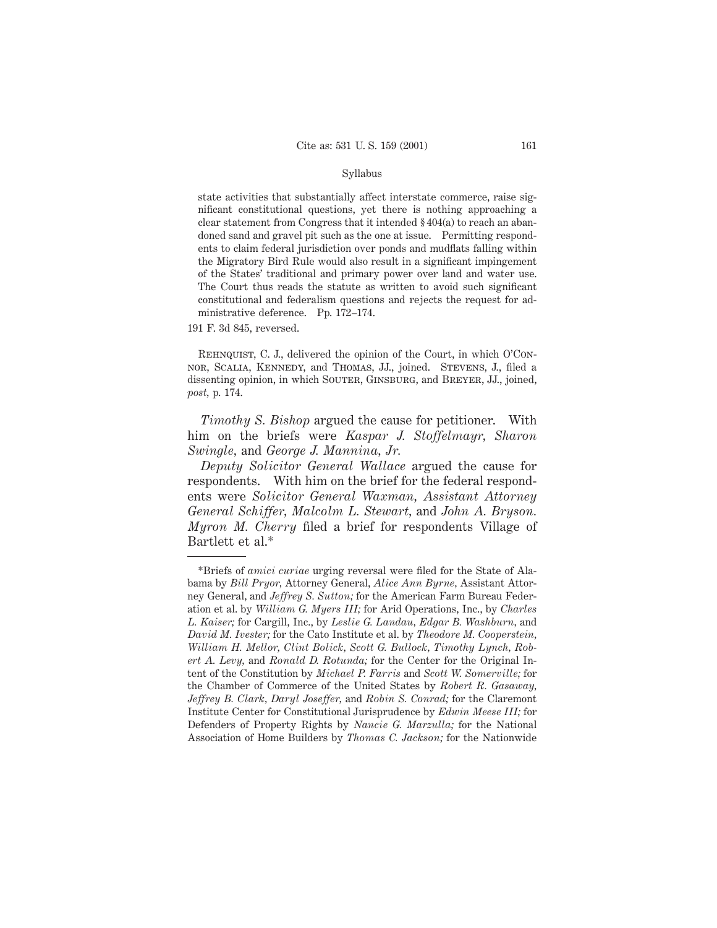#### Syllabus

state activities that substantially affect interstate commerce, raise significant constitutional questions, yet there is nothing approaching a clear statement from Congress that it intended § 404(a) to reach an abandoned sand and gravel pit such as the one at issue. Permitting respondents to claim federal jurisdiction over ponds and mudflats falling within the Migratory Bird Rule would also result in a significant impingement of the States' traditional and primary power over land and water use. The Court thus reads the statute as written to avoid such significant constitutional and federalism questions and rejects the request for administrative deference. Pp. 172–174.

191 F. 3d 845, reversed.

REHNQUIST, C. J., delivered the opinion of the Court, in which O'Connor, Scalia, Kennedy, and Thomas, JJ., joined. Stevens, J., filed a dissenting opinion, in which SOUTER, GINSBURG, and BREYER, JJ., joined, *post,* p. 174.

*Timothy S. Bishop* argued the cause for petitioner. With him on the briefs were *Kaspar J. Stoffelmayr, Sharon Swingle,* and *George J. Mannina, Jr.*

*Deputy Solicitor General Wallace* argued the cause for respondents. With him on the brief for the federal respondents were *Solicitor General Waxman, Assistant Attorney General Schiffer, Malcolm L. Stewart,* and *John A. Bryson. Myron M. Cherry* filed a brief for respondents Village of Bartlett et al.\*

<sup>\*</sup>Briefs of *amici curiae* urging reversal were filed for the State of Alabama by *Bill Pryor,* Attorney General, *Alice Ann Byrne,* Assistant Attorney General, and *Jeffrey S. Sutton;* for the American Farm Bureau Federation et al. by *William G. Myers III;* for Arid Operations, Inc., by *Charles L. Kaiser;* for Cargill, Inc., by *Leslie G. Landau, Edgar B. Washburn,* and *David M. Ivester;* for the Cato Institute et al. by *Theodore M. Cooperstein, William H. Mellor, Clint Bolick, Scott G. Bullock, Timothy Lynch, Robert A. Levy,* and *Ronald D. Rotunda;* for the Center for the Original Intent of the Constitution by *Michael P. Farris* and *Scott W. Somerville;* for the Chamber of Commerce of the United States by *Robert R. Gasaway, Jeffrey B. Clark, Daryl Joseffer,* and *Robin S. Conrad;* for the Claremont Institute Center for Constitutional Jurisprudence by *Edwin Meese III;* for Defenders of Property Rights by *Nancie G. Marzulla;* for the National Association of Home Builders by *Thomas C. Jackson;* for the Nationwide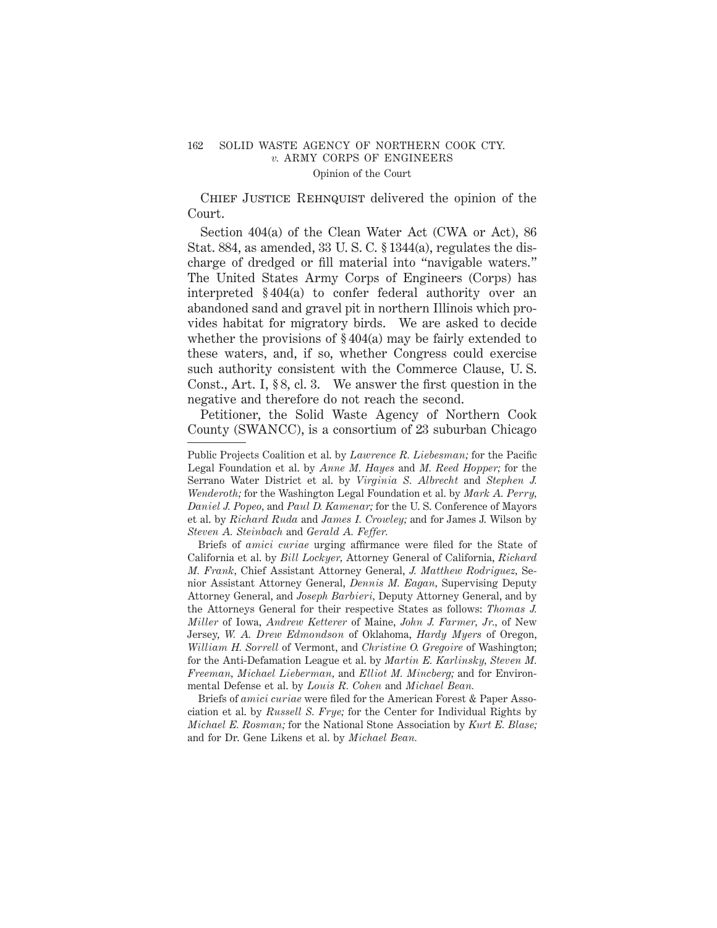## 162 SOLID WASTE AGENCY OF NORTHERN COOK CTY. *v.* ARMY CORPS OF ENGINEERS Opinion of the Court

CHIEF JUSTICE REHNQUIST delivered the opinion of the Court.

Section 404(a) of the Clean Water Act (CWA or Act), 86 Stat. 884, as amended, 33 U. S. C. § 1344(a), regulates the discharge of dredged or fill material into "navigable waters." The United States Army Corps of Engineers (Corps) has interpreted § 404(a) to confer federal authority over an abandoned sand and gravel pit in northern Illinois which provides habitat for migratory birds. We are asked to decide whether the provisions of § 404(a) may be fairly extended to these waters, and, if so, whether Congress could exercise such authority consistent with the Commerce Clause, U. S. Const., Art. I, § 8, cl. 3. We answer the first question in the negative and therefore do not reach the second.

Petitioner, the Solid Waste Agency of Northern Cook County (SWANCC), is a consortium of 23 suburban Chicago

Briefs of *amici curiae* urging affirmance were filed for the State of California et al. by *Bill Lockyer,* Attorney General of California, *Richard M. Frank,* Chief Assistant Attorney General, *J. Matthew Rodriguez,* Senior Assistant Attorney General, *Dennis M. Eagan,* Supervising Deputy Attorney General, and *Joseph Barbieri,* Deputy Attorney General, and by the Attorneys General for their respective States as follows: *Thomas J. Miller* of Iowa, *Andrew Ketterer* of Maine, *John J. Farmer, Jr.,* of New Jersey, *W. A. Drew Edmondson* of Oklahoma, *Hardy Myers* of Oregon, *William H. Sorrell* of Vermont, and *Christine O. Gregoire* of Washington; for the Anti-Defamation League et al. by *Martin E. Karlinsky, Steven M. Freeman, Michael Lieberman,* and *Elliot M. Mincberg;* and for Environmental Defense et al. by *Louis R. Cohen* and *Michael Bean.*

Briefs of *amici curiae* were filed for the American Forest & Paper Association et al. by *Russell S. Frye;* for the Center for Individual Rights by *Michael E. Rosman;* for the National Stone Association by *Kurt E. Blase;* and for Dr. Gene Likens et al. by *Michael Bean.*

Public Projects Coalition et al. by *Lawrence R. Liebesman;* for the Pacific Legal Foundation et al. by *Anne M. Hayes* and *M. Reed Hopper;* for the Serrano Water District et al. by *Virginia S. Albrecht* and *Stephen J. Wenderoth;* for the Washington Legal Foundation et al. by *Mark A. Perry, Daniel J. Popeo,* and *Paul D. Kamenar;* for the U. S. Conference of Mayors et al. by *Richard Ruda* and *James I. Crowley;* and for James J. Wilson by *Steven A. Steinbach* and *Gerald A. Feffer.*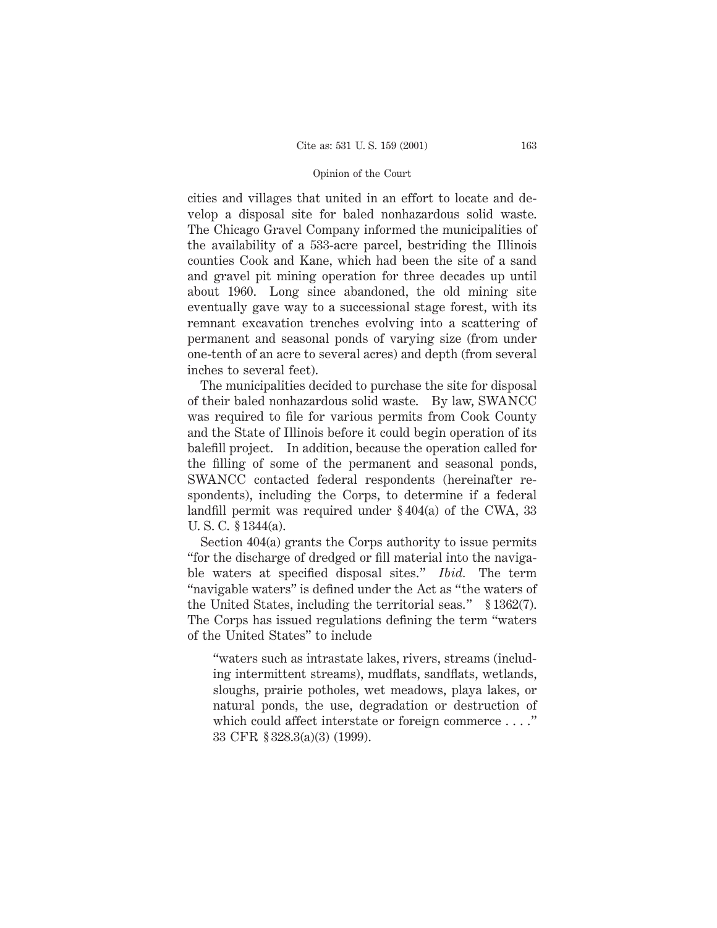#### Opinion of the Court

cities and villages that united in an effort to locate and develop a disposal site for baled nonhazardous solid waste. The Chicago Gravel Company informed the municipalities of the availability of a 533-acre parcel, bestriding the Illinois counties Cook and Kane, which had been the site of a sand and gravel pit mining operation for three decades up until about 1960. Long since abandoned, the old mining site eventually gave way to a successional stage forest, with its remnant excavation trenches evolving into a scattering of permanent and seasonal ponds of varying size (from under one-tenth of an acre to several acres) and depth (from several inches to several feet).

The municipalities decided to purchase the site for disposal of their baled nonhazardous solid waste. By law, SWANCC was required to file for various permits from Cook County and the State of Illinois before it could begin operation of its balefill project. In addition, because the operation called for the filling of some of the permanent and seasonal ponds, SWANCC contacted federal respondents (hereinafter respondents), including the Corps, to determine if a federal landfill permit was required under § 404(a) of the CWA, 33 U. S. C. § 1344(a).

Section 404(a) grants the Corps authority to issue permits "for the discharge of dredged or fill material into the navigable waters at specified disposal sites." *Ibid.* The term "navigable waters" is defined under the Act as "the waters of the United States, including the territorial seas." § 1362(7). The Corps has issued regulations defining the term "waters of the United States" to include

"waters such as intrastate lakes, rivers, streams (including intermittent streams), mudflats, sandflats, wetlands, sloughs, prairie potholes, wet meadows, playa lakes, or natural ponds, the use, degradation or destruction of which could affect interstate or foreign commerce . . . ." 33 CFR § 328.3(a)(3) (1999).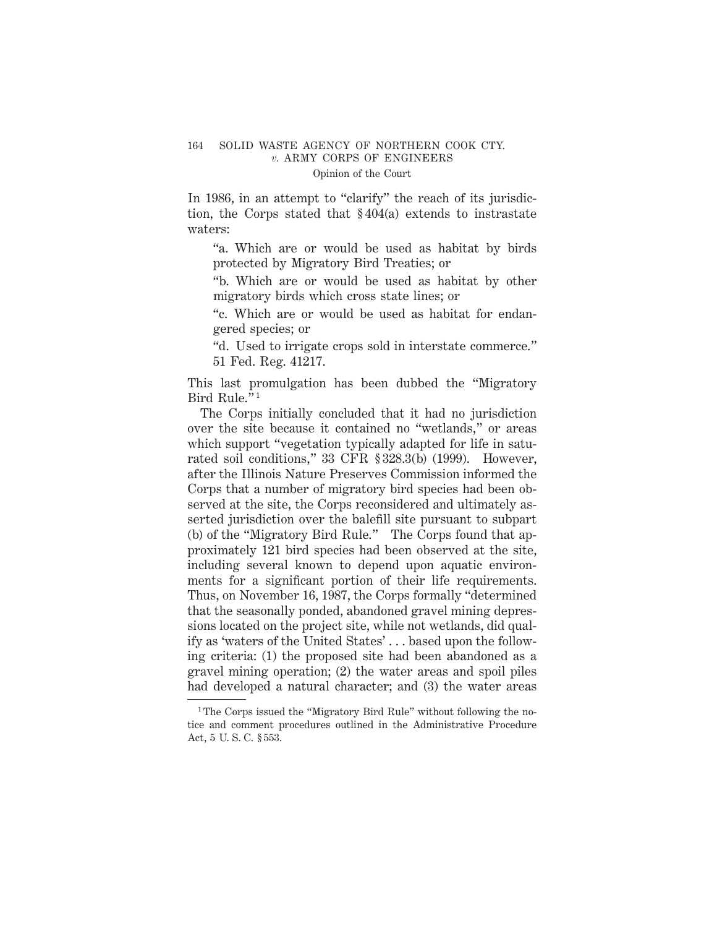#### 164 SOLID WASTE AGENCY OF NORTHERN COOK CTY. *v.* ARMY CORPS OF ENGINEERS Opinion of the Court

# In 1986, in an attempt to "clarify" the reach of its jurisdic-

tion, the Corps stated that § 404(a) extends to instrastate waters:

"a. Which are or would be used as habitat by birds protected by Migratory Bird Treaties; or

"b. Which are or would be used as habitat by other migratory birds which cross state lines; or

"c. Which are or would be used as habitat for endangered species; or

"d. Used to irrigate crops sold in interstate commerce." 51 Fed. Reg. 41217.

This last promulgation has been dubbed the "Migratory Bird Rule."<sup>1</sup>

The Corps initially concluded that it had no jurisdiction over the site because it contained no "wetlands," or areas which support "vegetation typically adapted for life in saturated soil conditions," 33 CFR § 328.3(b) (1999). However, after the Illinois Nature Preserves Commission informed the Corps that a number of migratory bird species had been observed at the site, the Corps reconsidered and ultimately asserted jurisdiction over the balefill site pursuant to subpart (b) of the "Migratory Bird Rule." The Corps found that approximately 121 bird species had been observed at the site, including several known to depend upon aquatic environments for a significant portion of their life requirements. Thus, on November 16, 1987, the Corps formally "determined that the seasonally ponded, abandoned gravel mining depressions located on the project site, while not wetlands, did qualify as 'waters of the United States' . . . based upon the following criteria: (1) the proposed site had been abandoned as a gravel mining operation; (2) the water areas and spoil piles had developed a natural character; and (3) the water areas

<sup>&</sup>lt;sup>1</sup>The Corps issued the "Migratory Bird Rule" without following the notice and comment procedures outlined in the Administrative Procedure Act, 5 U. S. C. § 553.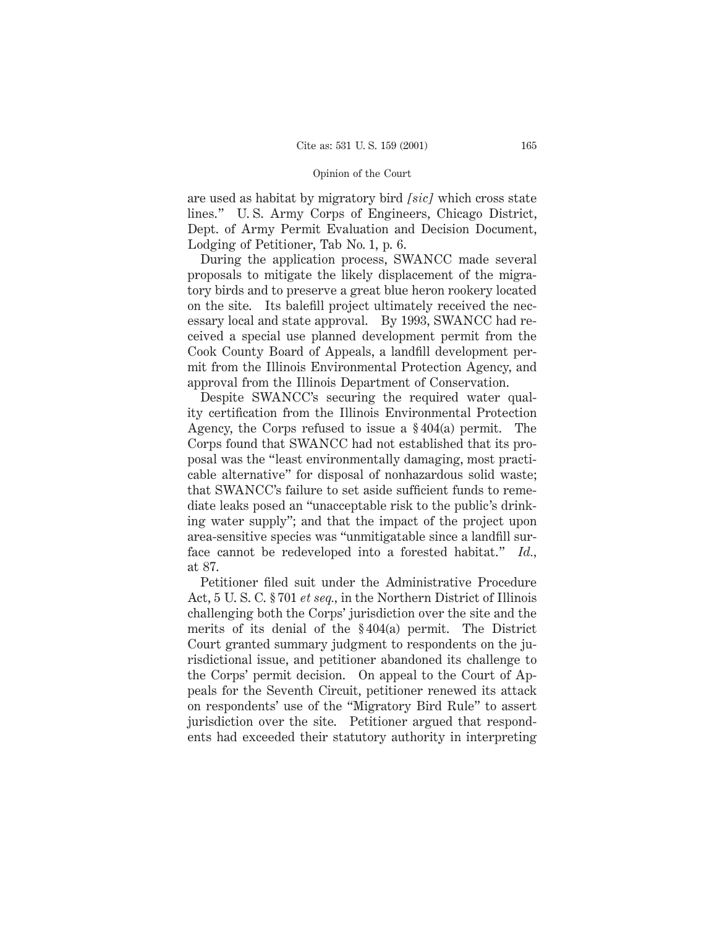#### Opinion of the Court

are used as habitat by migratory bird *[sic]* which cross state lines." U. S. Army Corps of Engineers, Chicago District, Dept. of Army Permit Evaluation and Decision Document, Lodging of Petitioner, Tab No. 1, p. 6.

During the application process, SWANCC made several proposals to mitigate the likely displacement of the migratory birds and to preserve a great blue heron rookery located on the site. Its balefill project ultimately received the necessary local and state approval. By 1993, SWANCC had received a special use planned development permit from the Cook County Board of Appeals, a landfill development permit from the Illinois Environmental Protection Agency, and approval from the Illinois Department of Conservation.

Despite SWANCC's securing the required water quality certification from the Illinois Environmental Protection Agency, the Corps refused to issue a § 404(a) permit. The Corps found that SWANCC had not established that its proposal was the "least environmentally damaging, most practicable alternative" for disposal of nonhazardous solid waste; that SWANCC's failure to set aside sufficient funds to remediate leaks posed an "unacceptable risk to the public's drinking water supply"; and that the impact of the project upon area-sensitive species was "unmitigatable since a landfill surface cannot be redeveloped into a forested habitat." *Id.,* at 87.

Petitioner filed suit under the Administrative Procedure Act, 5 U. S. C. § 701 *et seq.,* in the Northern District of Illinois challenging both the Corps' jurisdiction over the site and the merits of its denial of the § 404(a) permit. The District Court granted summary judgment to respondents on the jurisdictional issue, and petitioner abandoned its challenge to the Corps' permit decision. On appeal to the Court of Appeals for the Seventh Circuit, petitioner renewed its attack on respondents' use of the "Migratory Bird Rule" to assert jurisdiction over the site. Petitioner argued that respondents had exceeded their statutory authority in interpreting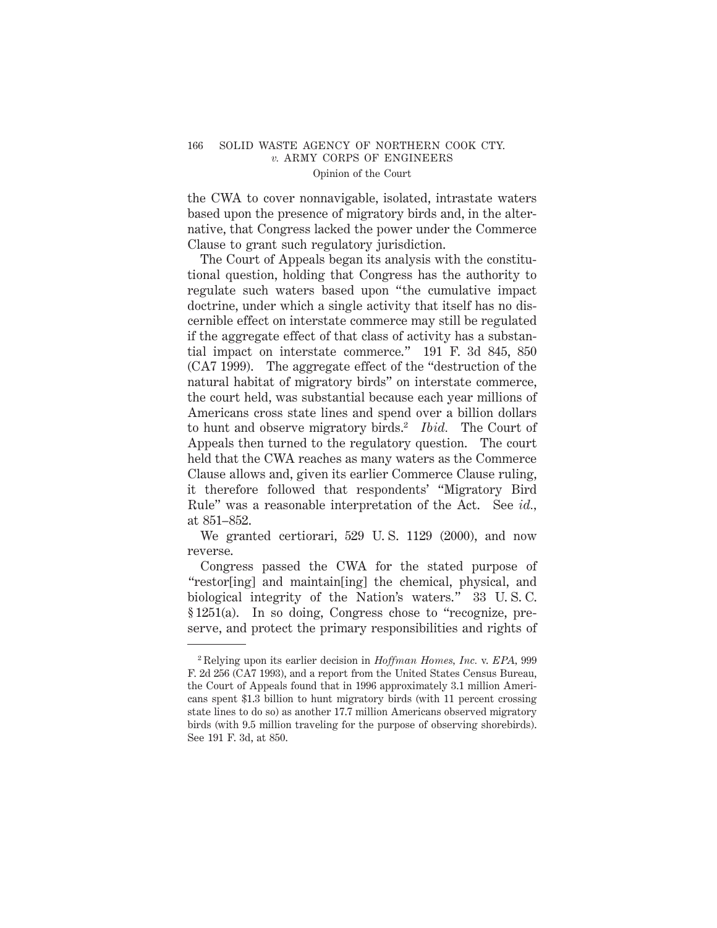#### 166 SOLID WASTE AGENCY OF NORTHERN COOK CTY. *v.* ARMY CORPS OF ENGINEERS Opinion of the Court

the CWA to cover nonnavigable, isolated, intrastate waters based upon the presence of migratory birds and, in the alternative, that Congress lacked the power under the Commerce Clause to grant such regulatory jurisdiction.

The Court of Appeals began its analysis with the constitutional question, holding that Congress has the authority to regulate such waters based upon "the cumulative impact doctrine, under which a single activity that itself has no discernible effect on interstate commerce may still be regulated if the aggregate effect of that class of activity has a substantial impact on interstate commerce." 191 F. 3d 845, 850 (CA7 1999). The aggregate effect of the "destruction of the natural habitat of migratory birds" on interstate commerce, the court held, was substantial because each year millions of Americans cross state lines and spend over a billion dollars to hunt and observe migratory birds.2 *Ibid.* The Court of Appeals then turned to the regulatory question. The court held that the CWA reaches as many waters as the Commerce Clause allows and, given its earlier Commerce Clause ruling, it therefore followed that respondents' "Migratory Bird Rule" was a reasonable interpretation of the Act. See *id.,* at 851–852.

We granted certiorari, 529 U. S. 1129 (2000), and now reverse.

Congress passed the CWA for the stated purpose of "restor[ing] and maintain[ing] the chemical, physical, and biological integrity of the Nation's waters." 33 U. S. C. § 1251(a). In so doing, Congress chose to "recognize, preserve, and protect the primary responsibilities and rights of

<sup>2</sup> Relying upon its earlier decision in *Hoffman Homes, Inc.* v. *EPA,* 999 F. 2d 256 (CA7 1993), and a report from the United States Census Bureau, the Court of Appeals found that in 1996 approximately 3.1 million Americans spent \$1.3 billion to hunt migratory birds (with 11 percent crossing state lines to do so) as another 17.7 million Americans observed migratory birds (with 9.5 million traveling for the purpose of observing shorebirds). See 191 F. 3d, at 850.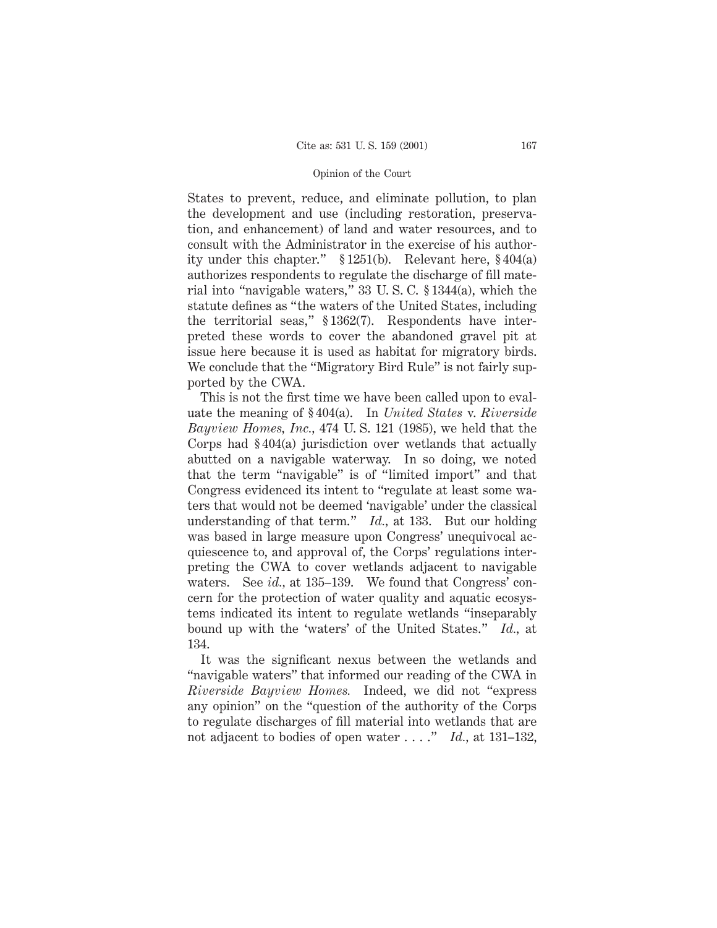#### Opinion of the Court

States to prevent, reduce, and eliminate pollution, to plan the development and use (including restoration, preservation, and enhancement) of land and water resources, and to consult with the Administrator in the exercise of his authority under this chapter." § 1251(b). Relevant here, § 404(a) authorizes respondents to regulate the discharge of fill material into "navigable waters," 33 U. S. C. § 1344(a), which the statute defines as "the waters of the United States, including the territorial seas," § 1362(7). Respondents have interpreted these words to cover the abandoned gravel pit at issue here because it is used as habitat for migratory birds. We conclude that the "Migratory Bird Rule" is not fairly supported by the CWA.

This is not the first time we have been called upon to evaluate the meaning of § 404(a). In *United States* v. *Riverside Bayview Homes, Inc.,* 474 U. S. 121 (1985), we held that the Corps had § 404(a) jurisdiction over wetlands that actually abutted on a navigable waterway. In so doing, we noted that the term "navigable" is of "limited import" and that Congress evidenced its intent to "regulate at least some waters that would not be deemed 'navigable' under the classical understanding of that term." *Id.,* at 133. But our holding was based in large measure upon Congress' unequivocal acquiescence to, and approval of, the Corps' regulations interpreting the CWA to cover wetlands adjacent to navigable waters. See *id.*, at 135–139. We found that Congress' concern for the protection of water quality and aquatic ecosystems indicated its intent to regulate wetlands "inseparably bound up with the 'waters' of the United States." *Id.,* at 134.

It was the significant nexus between the wetlands and "navigable waters" that informed our reading of the CWA in *Riverside Bayview Homes.* Indeed, we did not "express any opinion" on the "question of the authority of the Corps to regulate discharges of fill material into wetlands that are not adjacent to bodies of open water . . . ." *Id.,* at 131–132,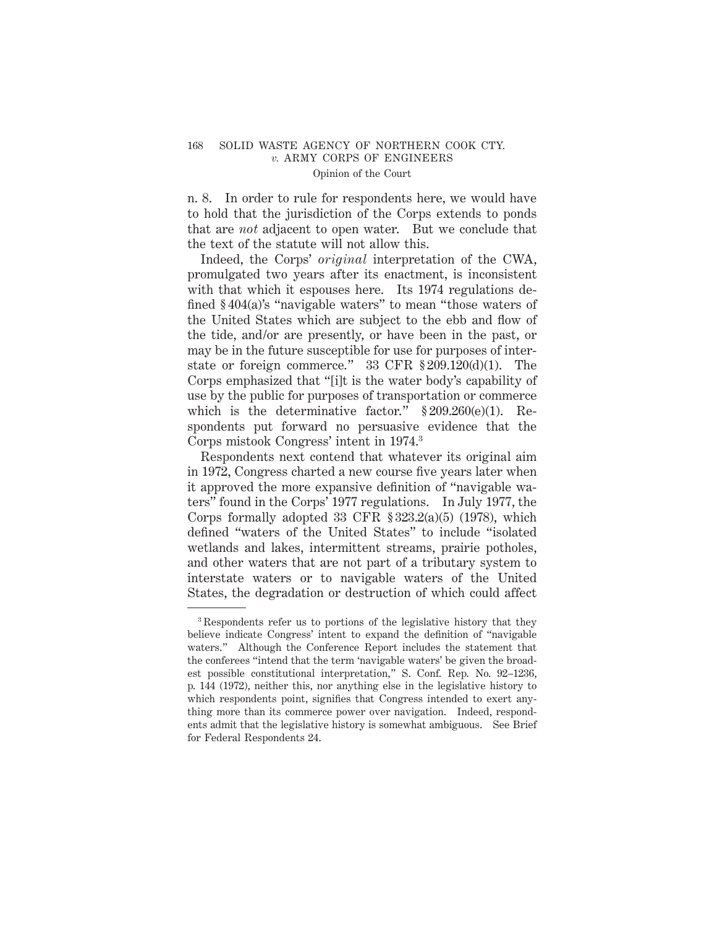#### 168 SOLID WASTE AGENCY OF NORTHERN COOK CTY. *v.* ARMY CORPS OF ENGINEERS Opinion of the Court

n. 8. In order to rule for respondents here, we would have to hold that the jurisdiction of the Corps extends to ponds that are *not* adjacent to open water. But we conclude that the text of the statute will not allow this.

Indeed, the Corps' *original* interpretation of the CWA, promulgated two years after its enactment, is inconsistent with that which it espouses here. Its 1974 regulations defined § 404(a)'s "navigable waters" to mean "those waters of the United States which are subject to the ebb and flow of the tide, and/or are presently, or have been in the past, or may be in the future susceptible for use for purposes of interstate or foreign commerce." 33 CFR § 209.120(d)(1). The Corps emphasized that "[i]t is the water body's capability of use by the public for purposes of transportation or commerce which is the determinative factor."  $§ 209.260(e)(1)$ . Respondents put forward no persuasive evidence that the Corps mistook Congress' intent in 1974.3

Respondents next contend that whatever its original aim in 1972, Congress charted a new course five years later when it approved the more expansive definition of "navigable waters" found in the Corps' 1977 regulations. In July 1977, the Corps formally adopted 33 CFR  $\S 323.2(a)(5)$  (1978), which defined "waters of the United States" to include "isolated wetlands and lakes, intermittent streams, prairie potholes, and other waters that are not part of a tributary system to interstate waters or to navigable waters of the United States, the degradation or destruction of which could affect

<sup>&</sup>lt;sup>3</sup> Respondents refer us to portions of the legislative history that they believe indicate Congress' intent to expand the definition of "navigable waters." Although the Conference Report includes the statement that the conferees "intend that the term 'navigable waters' be given the broadest possible constitutional interpretation," S. Conf. Rep. No. 92–1236, p. 144 (1972), neither this, nor anything else in the legislative history to which respondents point, signifies that Congress intended to exert anything more than its commerce power over navigation. Indeed, respondents admit that the legislative history is somewhat ambiguous. See Brief for Federal Respondents 24.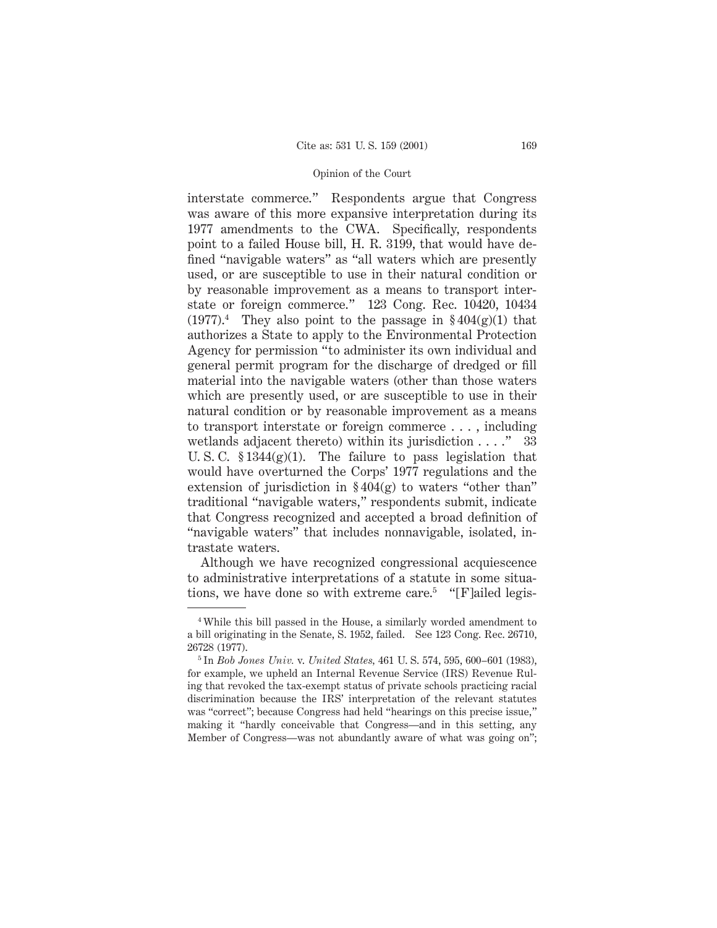#### Opinion of the Court

interstate commerce." Respondents argue that Congress was aware of this more expansive interpretation during its 1977 amendments to the CWA. Specifically, respondents point to a failed House bill, H. R. 3199, that would have defined "navigable waters" as "all waters which are presently used, or are susceptible to use in their natural condition or by reasonable improvement as a means to transport interstate or foreign commerce." 123 Cong. Rec. 10420, 10434  $(1977)^4$  They also point to the passage in §404(g)(1) that authorizes a State to apply to the Environmental Protection Agency for permission "to administer its own individual and general permit program for the discharge of dredged or fill material into the navigable waters (other than those waters which are presently used, or are susceptible to use in their natural condition or by reasonable improvement as a means to transport interstate or foreign commerce . . . , including wetlands adjacent thereto) within its jurisdiction . . . ." 33 U. S. C. § 1344(g)(1). The failure to pass legislation that would have overturned the Corps' 1977 regulations and the extension of jurisdiction in  $\S 404(g)$  to waters "other than" traditional "navigable waters," respondents submit, indicate that Congress recognized and accepted a broad definition of "navigable waters" that includes nonnavigable, isolated, intrastate waters.

Although we have recognized congressional acquiescence to administrative interpretations of a statute in some situations, we have done so with extreme care.<sup>5</sup> "[F]ailed legis-

<sup>4</sup> While this bill passed in the House, a similarly worded amendment to a bill originating in the Senate, S. 1952, failed. See 123 Cong. Rec. 26710, 26728 (1977).

<sup>5</sup> In *Bob Jones Univ.* v. *United States,* 461 U. S. 574, 595, 600–601 (1983), for example, we upheld an Internal Revenue Service (IRS) Revenue Ruling that revoked the tax-exempt status of private schools practicing racial discrimination because the IRS' interpretation of the relevant statutes was "correct"; because Congress had held "hearings on this precise issue," making it "hardly conceivable that Congress—and in this setting, any Member of Congress—was not abundantly aware of what was going on";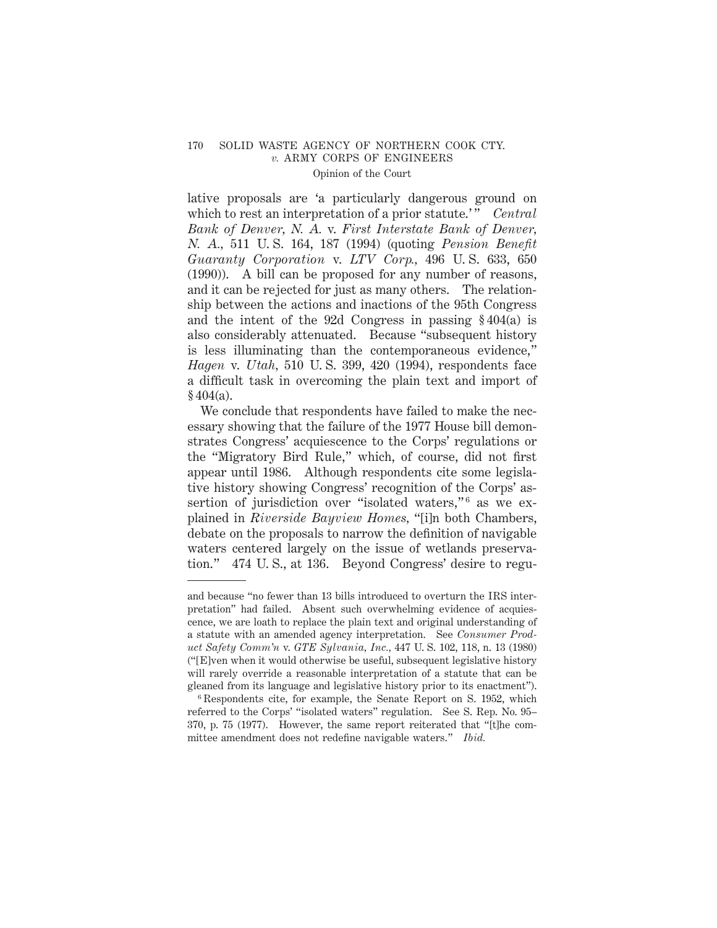## 170 SOLID WASTE AGENCY OF NORTHERN COOK CTY. *v.* ARMY CORPS OF ENGINEERS Opinion of the Court

lative proposals are 'a particularly dangerous ground on which to rest an interpretation of a prior statute.'" *Central Bank of Denver, N. A.* v. *First Interstate Bank of Denver, N. A.,* 511 U. S. 164, 187 (1994) (quoting *Pension Benefit Guaranty Corporation* v. *LTV Corp.,* 496 U. S. 633, 650 (1990)). A bill can be proposed for any number of reasons, and it can be rejected for just as many others. The relationship between the actions and inactions of the 95th Congress and the intent of the 92d Congress in passing § 404(a) is also considerably attenuated. Because "subsequent history is less illuminating than the contemporaneous evidence," *Hagen* v. *Utah,* 510 U. S. 399, 420 (1994), respondents face a difficult task in overcoming the plain text and import of  $§ 404(a).$ 

We conclude that respondents have failed to make the necessary showing that the failure of the 1977 House bill demonstrates Congress' acquiescence to the Corps' regulations or the "Migratory Bird Rule," which, of course, did not first appear until 1986. Although respondents cite some legislative history showing Congress' recognition of the Corps' assertion of jurisdiction over "isolated waters,"<sup>6</sup> as we explained in *Riverside Bayview Homes,* "[i]n both Chambers, debate on the proposals to narrow the definition of navigable waters centered largely on the issue of wetlands preservation." 474 U. S., at 136. Beyond Congress' desire to regu-

and because "no fewer than 13 bills introduced to overturn the IRS interpretation" had failed. Absent such overwhelming evidence of acquiescence, we are loath to replace the plain text and original understanding of a statute with an amended agency interpretation. See *Consumer Product Safety Comm'n* v. *GTE Sylvania, Inc.,* 447 U. S. 102, 118, n. 13 (1980) ("[E]ven when it would otherwise be useful, subsequent legislative history will rarely override a reasonable interpretation of a statute that can be gleaned from its language and legislative history prior to its enactment").

<sup>6</sup> Respondents cite, for example, the Senate Report on S. 1952, which referred to the Corps' "isolated waters" regulation. See S. Rep. No. 95– 370, p. 75 (1977). However, the same report reiterated that "[t]he committee amendment does not redefine navigable waters." *Ibid.*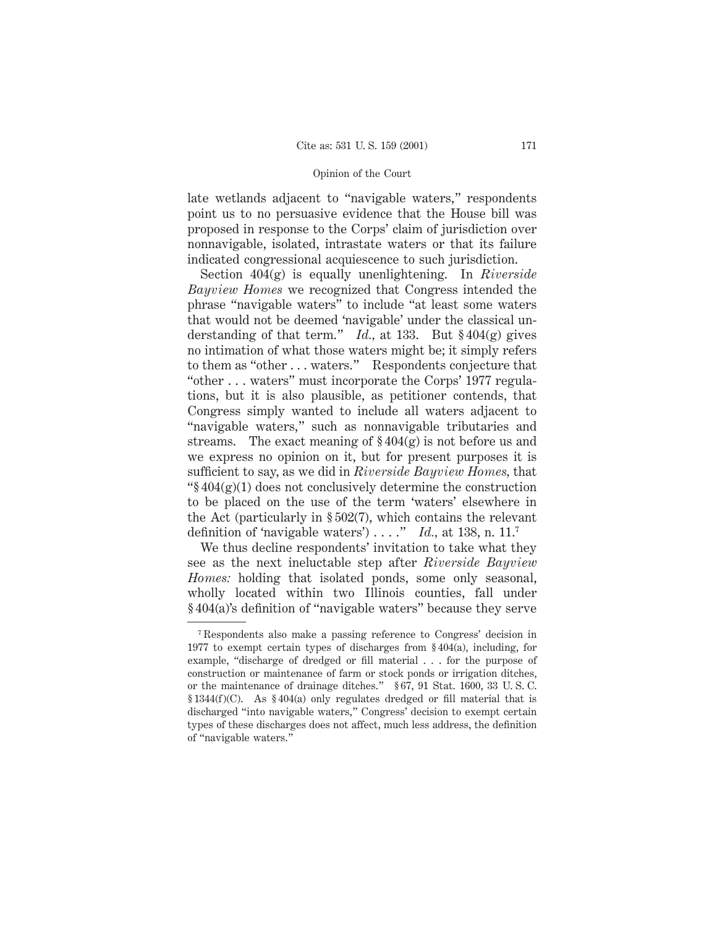#### Opinion of the Court

late wetlands adjacent to "navigable waters," respondents point us to no persuasive evidence that the House bill was proposed in response to the Corps' claim of jurisdiction over nonnavigable, isolated, intrastate waters or that its failure indicated congressional acquiescence to such jurisdiction.

Section 404(g) is equally unenlightening. In *Riverside Bayview Homes* we recognized that Congress intended the phrase "navigable waters" to include "at least some waters that would not be deemed 'navigable' under the classical understanding of that term." *Id.,* at 133. But § 404(g) gives no intimation of what those waters might be; it simply refers to them as "other... waters." Respondents conjecture that "other . . . waters" must incorporate the Corps' 1977 regulations, but it is also plausible, as petitioner contends, that Congress simply wanted to include all waters adjacent to "navigable waters," such as nonnavigable tributaries and streams. The exact meaning of  $\S 404(g)$  is not before us and we express no opinion on it, but for present purposes it is sufficient to say, as we did in *Riverside Bayview Homes,* that " $\frac{1}{2}$  404(g)(1) does not conclusively determine the construction to be placed on the use of the term 'waters' elsewhere in the Act (particularly in § 502(7), which contains the relevant definition of 'navigable waters') . . . ." *Id.,* at 138, n. 11.7

We thus decline respondents' invitation to take what they see as the next ineluctable step after *Riverside Bayview Homes:* holding that isolated ponds, some only seasonal, wholly located within two Illinois counties, fall under § 404(a)'s definition of "navigable waters" because they serve

<sup>7</sup> Respondents also make a passing reference to Congress' decision in 1977 to exempt certain types of discharges from § 404(a), including, for example, "discharge of dredged or fill material . . . for the purpose of construction or maintenance of farm or stock ponds or irrigation ditches, or the maintenance of drainage ditches." § 67, 91 Stat. 1600, 33 U. S. C. § 1344(f)(C). As § 404(a) only regulates dredged or fill material that is discharged "into navigable waters," Congress' decision to exempt certain types of these discharges does not affect, much less address, the definition of "navigable waters."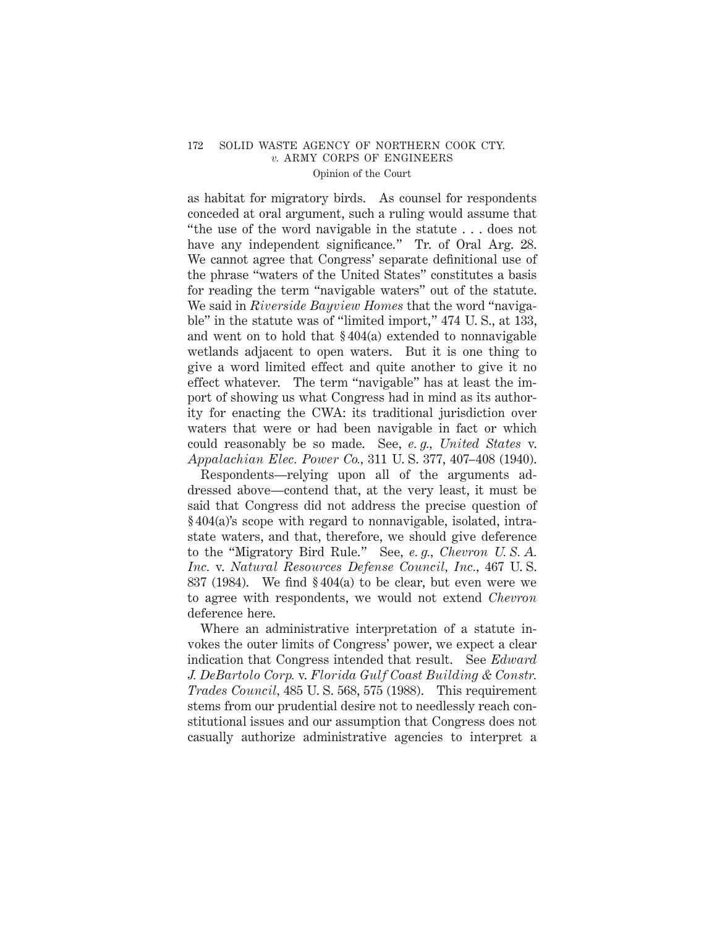#### 172 SOLID WASTE AGENCY OF NORTHERN COOK CTY. *v.* ARMY CORPS OF ENGINEERS Opinion of the Court

as habitat for migratory birds. As counsel for respondents conceded at oral argument, such a ruling would assume that "the use of the word navigable in the statute . . . does not have any independent significance." Tr. of Oral Arg. 28. We cannot agree that Congress' separate definitional use of the phrase "waters of the United States" constitutes a basis for reading the term "navigable waters" out of the statute. We said in *Riverside Bayview Homes* that the word "navigable" in the statute was of "limited import," 474 U. S., at 133, and went on to hold that § 404(a) extended to nonnavigable wetlands adjacent to open waters. But it is one thing to give a word limited effect and quite another to give it no effect whatever. The term "navigable" has at least the import of showing us what Congress had in mind as its authority for enacting the CWA: its traditional jurisdiction over waters that were or had been navigable in fact or which could reasonably be so made. See, *e. g., United States* v. *Appalachian Elec. Power Co.,* 311 U. S. 377, 407–408 (1940).

Respondents—relying upon all of the arguments addressed above—contend that, at the very least, it must be said that Congress did not address the precise question of § 404(a)'s scope with regard to nonnavigable, isolated, intrastate waters, and that, therefore, we should give deference to the "Migratory Bird Rule." See, *e. g., Chevron U. S. A. Inc.* v. *Natural Resources Defense Council, Inc.,* 467 U. S. 837 (1984). We find § 404(a) to be clear, but even were we to agree with respondents, we would not extend *Chevron* deference here.

Where an administrative interpretation of a statute invokes the outer limits of Congress' power, we expect a clear indication that Congress intended that result. See *Edward J. DeBartolo Corp.* v. *Florida Gulf Coast Building & Constr. Trades Council,* 485 U. S. 568, 575 (1988). This requirement stems from our prudential desire not to needlessly reach constitutional issues and our assumption that Congress does not casually authorize administrative agencies to interpret a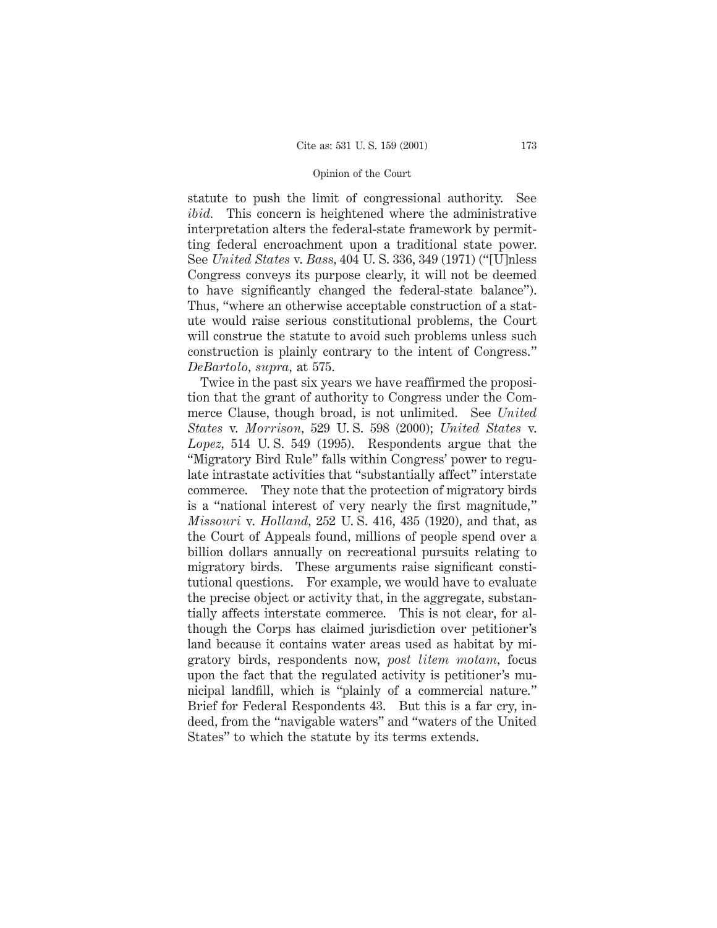#### Opinion of the Court

statute to push the limit of congressional authority. See *ibid.* This concern is heightened where the administrative interpretation alters the federal-state framework by permitting federal encroachment upon a traditional state power. See *United States* v. *Bass,* 404 U. S. 336, 349 (1971) ("[U]nless Congress conveys its purpose clearly, it will not be deemed to have significantly changed the federal-state balance"). Thus, "where an otherwise acceptable construction of a statute would raise serious constitutional problems, the Court will construe the statute to avoid such problems unless such construction is plainly contrary to the intent of Congress." *DeBartolo, supra,* at 575.

Twice in the past six years we have reaffirmed the proposition that the grant of authority to Congress under the Commerce Clause, though broad, is not unlimited. See *United States* v. *Morrison,* 529 U. S. 598 (2000); *United States* v. *Lopez,* 514 U. S. 549 (1995). Respondents argue that the "Migratory Bird Rule" falls within Congress' power to regulate intrastate activities that "substantially affect" interstate commerce. They note that the protection of migratory birds is a "national interest of very nearly the first magnitude," *Missouri* v. *Holland,* 252 U. S. 416, 435 (1920), and that, as the Court of Appeals found, millions of people spend over a billion dollars annually on recreational pursuits relating to migratory birds. These arguments raise significant constitutional questions. For example, we would have to evaluate the precise object or activity that, in the aggregate, substantially affects interstate commerce. This is not clear, for although the Corps has claimed jurisdiction over petitioner's land because it contains water areas used as habitat by migratory birds, respondents now, *post litem motam,* focus upon the fact that the regulated activity is petitioner's municipal landfill, which is "plainly of a commercial nature." Brief for Federal Respondents 43. But this is a far cry, indeed, from the "navigable waters" and "waters of the United States" to which the statute by its terms extends.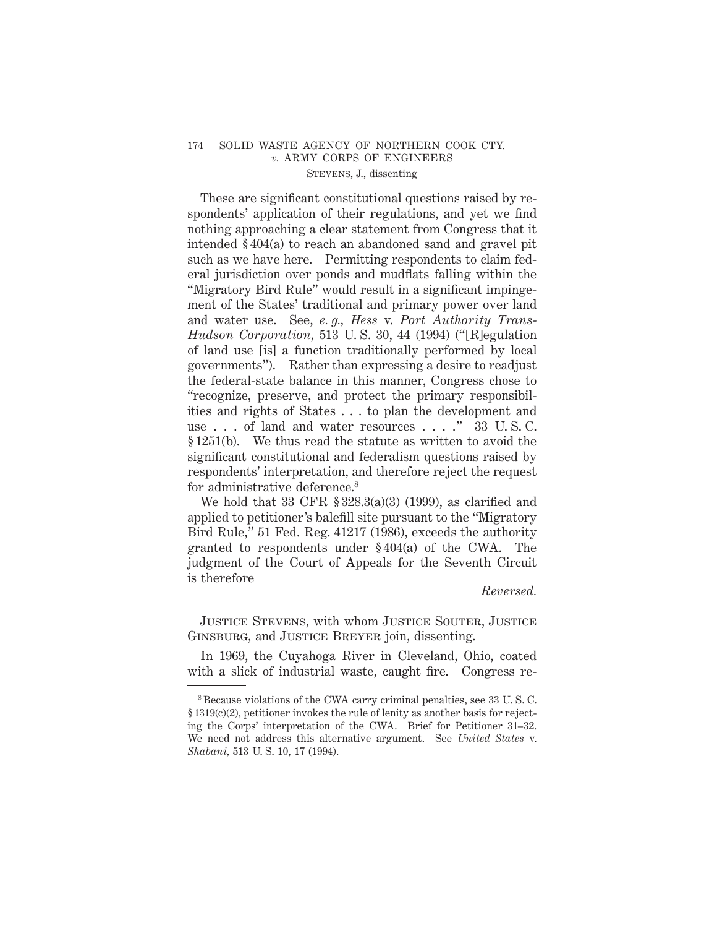These are significant constitutional questions raised by respondents' application of their regulations, and yet we find nothing approaching a clear statement from Congress that it intended § 404(a) to reach an abandoned sand and gravel pit such as we have here. Permitting respondents to claim federal jurisdiction over ponds and mudflats falling within the "Migratory Bird Rule" would result in a significant impingement of the States' traditional and primary power over land and water use. See, *e. g., Hess* v. *Port Authority Trans-Hudson Corporation,* 513 U. S. 30, 44 (1994) ("[R]egulation of land use [is] a function traditionally performed by local governments"). Rather than expressing a desire to readjust the federal-state balance in this manner, Congress chose to "recognize, preserve, and protect the primary responsibilities and rights of States . . . to plan the development and use . . . of land and water resources . . . ." 33 U. S. C. § 1251(b). We thus read the statute as written to avoid the significant constitutional and federalism questions raised by respondents' interpretation, and therefore reject the request for administrative deference.<sup>8</sup>

We hold that  $33$  CFR  $\S 328.3(a)(3)$  (1999), as clarified and applied to petitioner's balefill site pursuant to the "Migratory Bird Rule," 51 Fed. Reg. 41217 (1986), exceeds the authority granted to respondents under § 404(a) of the CWA. The judgment of the Court of Appeals for the Seventh Circuit is therefore

#### *Reversed.*

Justice Stevens, with whom Justice Souter, Justice GINSBURG, and JUSTICE BREYER join, dissenting.

In 1969, the Cuyahoga River in Cleveland, Ohio, coated with a slick of industrial waste, caught fire. Congress re-

<sup>8</sup> Because violations of the CWA carry criminal penalties, see 33 U. S. C. § 1319(c)(2), petitioner invokes the rule of lenity as another basis for rejecting the Corps' interpretation of the CWA. Brief for Petitioner 31–32. We need not address this alternative argument. See *United States* v. *Shabani,* 513 U. S. 10, 17 (1994).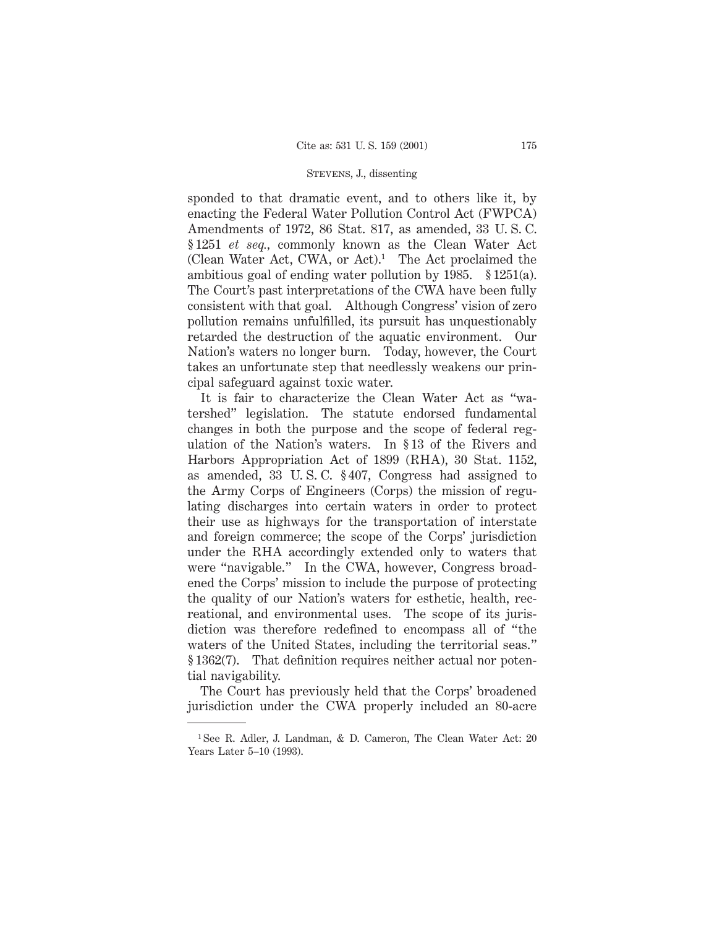sponded to that dramatic event, and to others like it, by enacting the Federal Water Pollution Control Act (FWPCA) Amendments of 1972, 86 Stat. 817, as amended, 33 U. S. C. § 1251 *et seq.,* commonly known as the Clean Water Act (Clean Water Act, CWA, or Act).<sup>1</sup> The Act proclaimed the ambitious goal of ending water pollution by 1985. § 1251(a). The Court's past interpretations of the CWA have been fully consistent with that goal. Although Congress' vision of zero pollution remains unfulfilled, its pursuit has unquestionably retarded the destruction of the aquatic environment. Our Nation's waters no longer burn. Today, however, the Court takes an unfortunate step that needlessly weakens our principal safeguard against toxic water.

It is fair to characterize the Clean Water Act as "watershed" legislation. The statute endorsed fundamental changes in both the purpose and the scope of federal regulation of the Nation's waters. In § 13 of the Rivers and Harbors Appropriation Act of 1899 (RHA), 30 Stat. 1152, as amended, 33 U. S. C. § 407, Congress had assigned to the Army Corps of Engineers (Corps) the mission of regulating discharges into certain waters in order to protect their use as highways for the transportation of interstate and foreign commerce; the scope of the Corps' jurisdiction under the RHA accordingly extended only to waters that were "navigable." In the CWA, however, Congress broadened the Corps' mission to include the purpose of protecting the quality of our Nation's waters for esthetic, health, recreational, and environmental uses. The scope of its jurisdiction was therefore redefined to encompass all of "the waters of the United States, including the territorial seas." § 1362(7). That definition requires neither actual nor potential navigability.

The Court has previously held that the Corps' broadened jurisdiction under the CWA properly included an 80-acre

<sup>1</sup> See R. Adler, J. Landman, & D. Cameron, The Clean Water Act: 20 Years Later 5–10 (1993).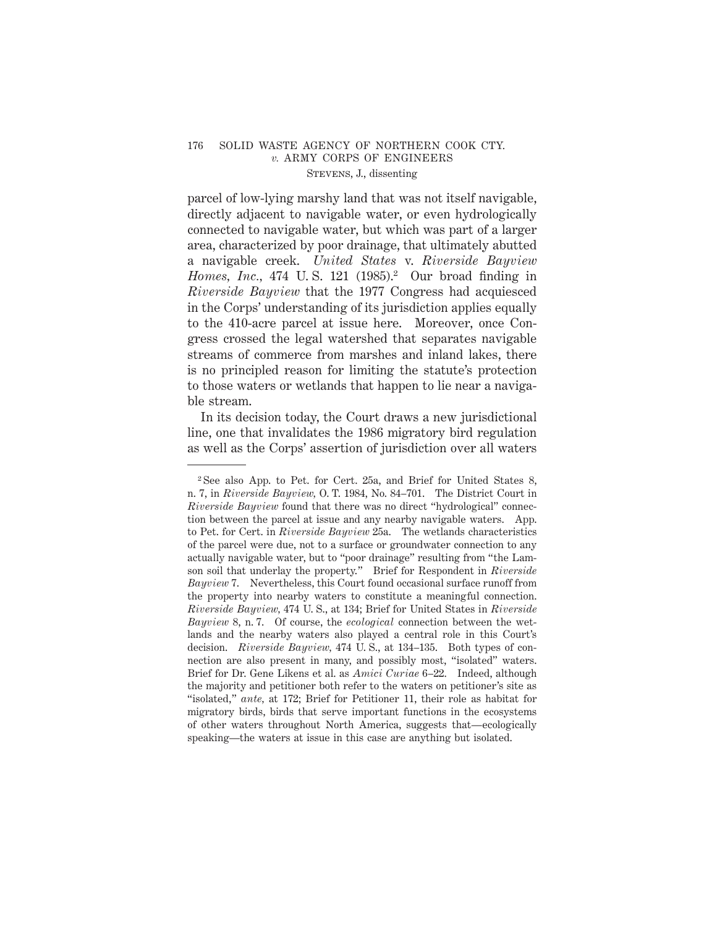parcel of low-lying marshy land that was not itself navigable, directly adjacent to navigable water, or even hydrologically connected to navigable water, but which was part of a larger area, characterized by poor drainage, that ultimately abutted a navigable creek. *United States* v. *Riverside Bayview Homes, Inc.,* 474 U.S. 121 (1985).<sup>2</sup> Our broad finding in *Riverside Bayview* that the 1977 Congress had acquiesced in the Corps' understanding of its jurisdiction applies equally to the 410-acre parcel at issue here. Moreover, once Congress crossed the legal watershed that separates navigable streams of commerce from marshes and inland lakes, there is no principled reason for limiting the statute's protection to those waters or wetlands that happen to lie near a navigable stream.

In its decision today, the Court draws a new jurisdictional line, one that invalidates the 1986 migratory bird regulation as well as the Corps' assertion of jurisdiction over all waters

<sup>2</sup> See also App. to Pet. for Cert. 25a, and Brief for United States 8, n. 7, in *Riverside Bayview,* O. T. 1984, No. 84–701. The District Court in *Riverside Bayview* found that there was no direct "hydrological" connection between the parcel at issue and any nearby navigable waters. App. to Pet. for Cert. in *Riverside Bayview* 25a. The wetlands characteristics of the parcel were due, not to a surface or groundwater connection to any actually navigable water, but to "poor drainage" resulting from "the Lamson soil that underlay the property." Brief for Respondent in *Riverside Bayview* 7. Nevertheless, this Court found occasional surface runoff from the property into nearby waters to constitute a meaningful connection. *Riverside Bayview,* 474 U. S., at 134; Brief for United States in *Riverside Bayview* 8, n. 7. Of course, the *ecological* connection between the wetlands and the nearby waters also played a central role in this Court's decision. *Riverside Bayview,* 474 U. S., at 134–135. Both types of connection are also present in many, and possibly most, "isolated" waters. Brief for Dr. Gene Likens et al. as *Amici Curiae* 6–22. Indeed, although the majority and petitioner both refer to the waters on petitioner's site as "isolated," *ante,* at 172; Brief for Petitioner 11, their role as habitat for migratory birds, birds that serve important functions in the ecosystems of other waters throughout North America, suggests that—ecologically speaking—the waters at issue in this case are anything but isolated.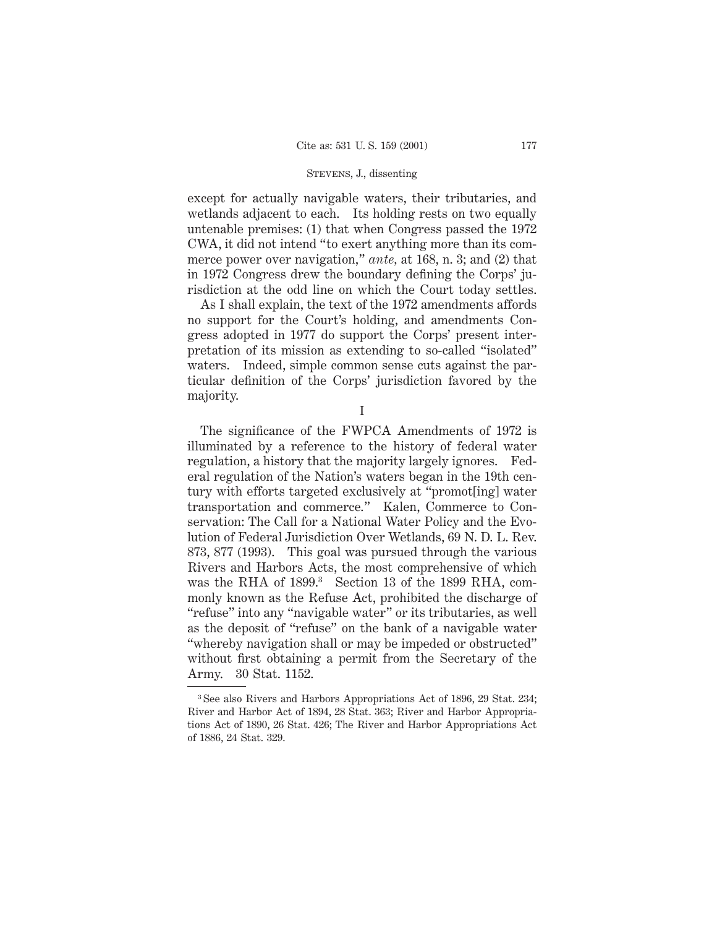except for actually navigable waters, their tributaries, and wetlands adjacent to each. Its holding rests on two equally untenable premises: (1) that when Congress passed the 1972 CWA, it did not intend "to exert anything more than its commerce power over navigation," *ante,* at 168, n. 3; and (2) that in 1972 Congress drew the boundary defining the Corps' jurisdiction at the odd line on which the Court today settles.

As I shall explain, the text of the 1972 amendments affords no support for the Court's holding, and amendments Congress adopted in 1977 do support the Corps' present interpretation of its mission as extending to so-called "isolated" waters. Indeed, simple common sense cuts against the particular definition of the Corps' jurisdiction favored by the majority.

I

The significance of the FWPCA Amendments of 1972 is illuminated by a reference to the history of federal water regulation, a history that the majority largely ignores. Federal regulation of the Nation's waters began in the 19th century with efforts targeted exclusively at "promot[ing] water transportation and commerce." Kalen, Commerce to Conservation: The Call for a National Water Policy and the Evolution of Federal Jurisdiction Over Wetlands, 69 N. D. L. Rev. 873, 877 (1993). This goal was pursued through the various Rivers and Harbors Acts, the most comprehensive of which was the RHA of 1899.<sup>3</sup> Section 13 of the 1899 RHA, commonly known as the Refuse Act, prohibited the discharge of "refuse" into any "navigable water" or its tributaries, as well as the deposit of "refuse" on the bank of a navigable water "whereby navigation shall or may be impeded or obstructed" without first obtaining a permit from the Secretary of the Army. 30 Stat. 1152.

<sup>3</sup> See also Rivers and Harbors Appropriations Act of 1896, 29 Stat. 234; River and Harbor Act of 1894, 28 Stat. 363; River and Harbor Appropriations Act of 1890, 26 Stat. 426; The River and Harbor Appropriations Act of 1886, 24 Stat. 329.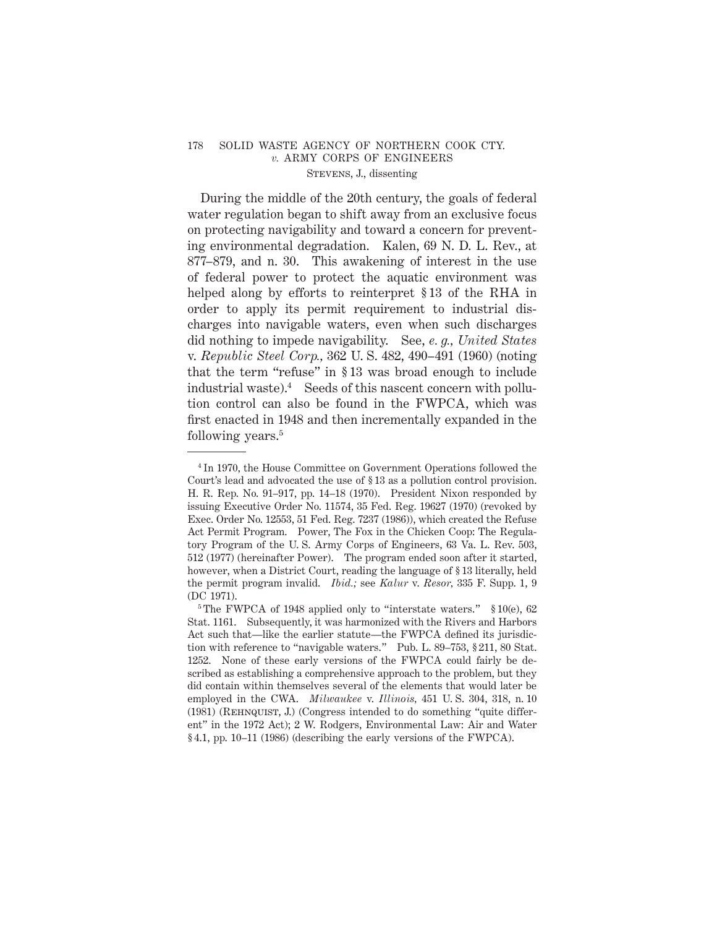During the middle of the 20th century, the goals of federal water regulation began to shift away from an exclusive focus on protecting navigability and toward a concern for preventing environmental degradation. Kalen, 69 N. D. L. Rev., at 877–879, and n. 30. This awakening of interest in the use of federal power to protect the aquatic environment was helped along by efforts to reinterpret § 13 of the RHA in order to apply its permit requirement to industrial discharges into navigable waters, even when such discharges did nothing to impede navigability. See, *e. g., United States* v. *Republic Steel Corp.,* 362 U. S. 482, 490–491 (1960) (noting that the term "refuse" in § 13 was broad enough to include industrial waste).4 Seeds of this nascent concern with pollution control can also be found in the FWPCA, which was first enacted in 1948 and then incrementally expanded in the following years.<sup>5</sup>

<sup>4</sup> In 1970, the House Committee on Government Operations followed the Court's lead and advocated the use of § 13 as a pollution control provision. H. R. Rep. No. 91–917, pp. 14–18 (1970). President Nixon responded by issuing Executive Order No. 11574, 35 Fed. Reg. 19627 (1970) (revoked by Exec. Order No. 12553, 51 Fed. Reg. 7237 (1986)), which created the Refuse Act Permit Program. Power, The Fox in the Chicken Coop: The Regulatory Program of the U. S. Army Corps of Engineers, 63 Va. L. Rev. 503, 512 (1977) (hereinafter Power). The program ended soon after it started, however, when a District Court, reading the language of § 13 literally, held the permit program invalid. *Ibid.;* see *Kalur* v. *Resor,* 335 F. Supp. 1, 9 (DC 1971).

<sup>&</sup>lt;sup>5</sup> The FWPCA of 1948 applied only to "interstate waters."  $$10(e)$ , 62 Stat. 1161. Subsequently, it was harmonized with the Rivers and Harbors Act such that—like the earlier statute—the FWPCA defined its jurisdiction with reference to "navigable waters." Pub. L. 89–753, § 211, 80 Stat. 1252. None of these early versions of the FWPCA could fairly be described as establishing a comprehensive approach to the problem, but they did contain within themselves several of the elements that would later be employed in the CWA. *Milwaukee* v. *Illinois,* 451 U. S. 304, 318, n. 10 (1981) (Rehnquist, J.) (Congress intended to do something "quite different" in the 1972 Act); 2 W. Rodgers, Environmental Law: Air and Water § 4.1, pp. 10–11 (1986) (describing the early versions of the FWPCA).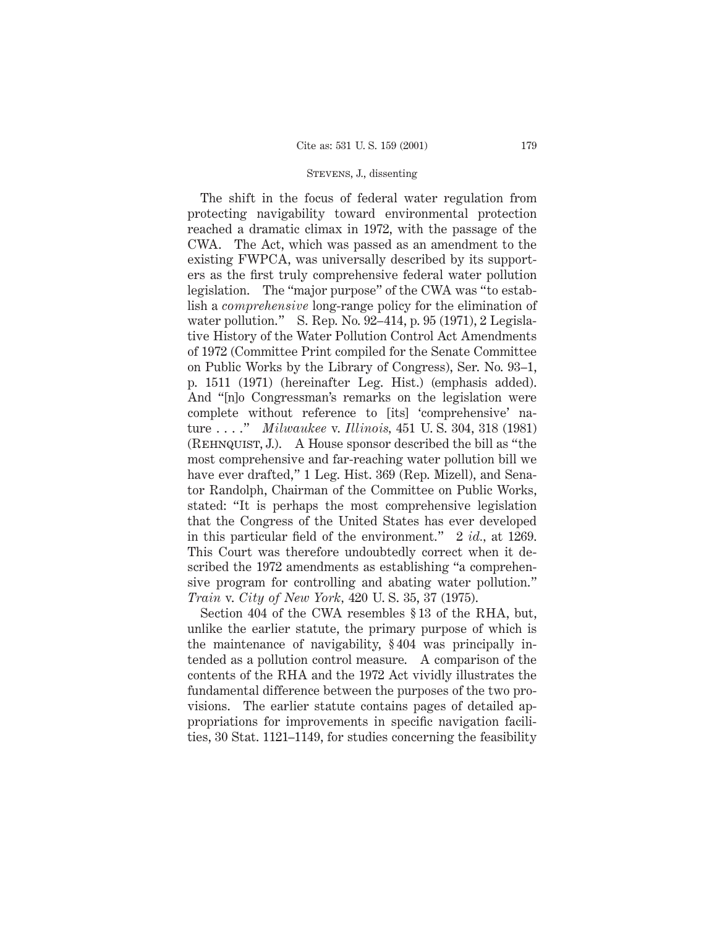The shift in the focus of federal water regulation from protecting navigability toward environmental protection reached a dramatic climax in 1972, with the passage of the CWA. The Act, which was passed as an amendment to the existing FWPCA, was universally described by its supporters as the first truly comprehensive federal water pollution legislation. The "major purpose" of the CWA was "to establish a *comprehensive* long-range policy for the elimination of water pollution." S. Rep. No. 92–414, p. 95 (1971), 2 Legislative History of the Water Pollution Control Act Amendments of 1972 (Committee Print compiled for the Senate Committee on Public Works by the Library of Congress), Ser. No. 93–1, p. 1511 (1971) (hereinafter Leg. Hist.) (emphasis added). And "[n]o Congressman's remarks on the legislation were complete without reference to [its] 'comprehensive' nature . . . ." *Milwaukee* v. *Illinois,* 451 U. S. 304, 318 (1981) (Rehnquist, J.). A House sponsor described the bill as "the most comprehensive and far-reaching water pollution bill we have ever drafted," 1 Leg. Hist. 369 (Rep. Mizell), and Senator Randolph, Chairman of the Committee on Public Works, stated: "It is perhaps the most comprehensive legislation that the Congress of the United States has ever developed in this particular field of the environment." 2 *id.,* at 1269. This Court was therefore undoubtedly correct when it described the 1972 amendments as establishing "a comprehensive program for controlling and abating water pollution." *Train* v. *City of New York,* 420 U. S. 35, 37 (1975).

Section 404 of the CWA resembles § 13 of the RHA, but, unlike the earlier statute, the primary purpose of which is the maintenance of navigability, § 404 was principally intended as a pollution control measure. A comparison of the contents of the RHA and the 1972 Act vividly illustrates the fundamental difference between the purposes of the two provisions. The earlier statute contains pages of detailed appropriations for improvements in specific navigation facilities, 30 Stat. 1121–1149, for studies concerning the feasibility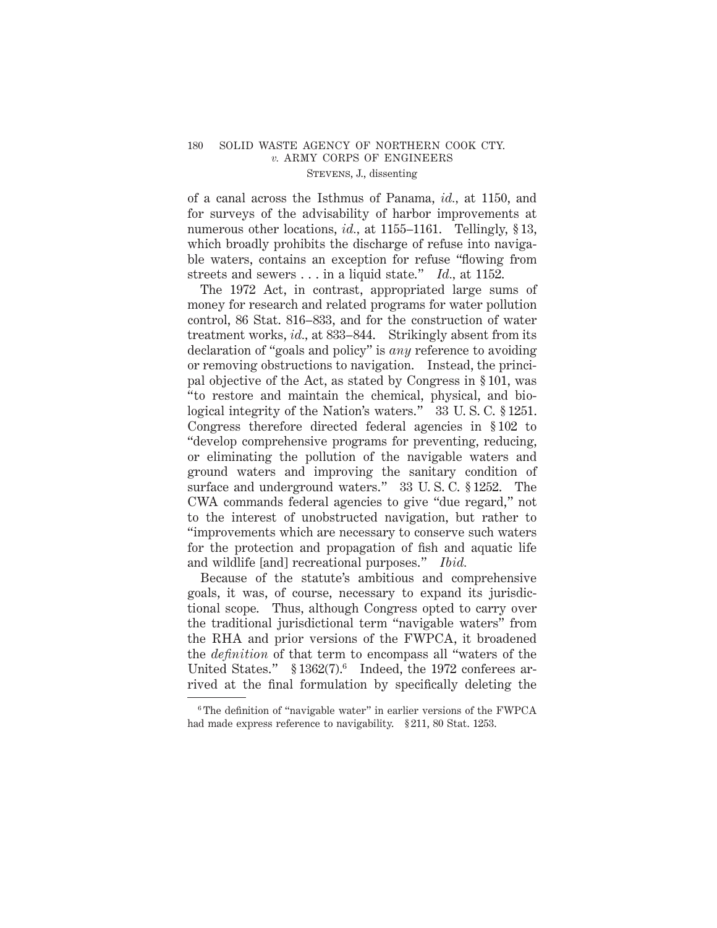of a canal across the Isthmus of Panama, *id.,* at 1150, and for surveys of the advisability of harbor improvements at numerous other locations, *id.*, at 1155–1161. Tellingly, §13, which broadly prohibits the discharge of refuse into navigable waters, contains an exception for refuse "flowing from streets and sewers . . . in a liquid state." *Id.,* at 1152.

The 1972 Act, in contrast, appropriated large sums of money for research and related programs for water pollution control, 86 Stat. 816–833, and for the construction of water treatment works, *id.,* at 833–844. Strikingly absent from its declaration of "goals and policy" is *any* reference to avoiding or removing obstructions to navigation. Instead, the principal objective of the Act, as stated by Congress in § 101, was "to restore and maintain the chemical, physical, and biological integrity of the Nation's waters." 33 U. S. C. § 1251. Congress therefore directed federal agencies in § 102 to "develop comprehensive programs for preventing, reducing, or eliminating the pollution of the navigable waters and ground waters and improving the sanitary condition of surface and underground waters." 33 U. S. C. § 1252. The CWA commands federal agencies to give "due regard," not to the interest of unobstructed navigation, but rather to "improvements which are necessary to conserve such waters for the protection and propagation of fish and aquatic life and wildlife [and] recreational purposes." *Ibid.*

Because of the statute's ambitious and comprehensive goals, it was, of course, necessary to expand its jurisdictional scope. Thus, although Congress opted to carry over the traditional jurisdictional term "navigable waters" from the RHA and prior versions of the FWPCA, it broadened the *definition* of that term to encompass all "waters of the United States."  $$1362(7).$ <sup>6</sup> Indeed, the 1972 conferees arrived at the final formulation by specifically deleting the

<sup>6</sup> The definition of "navigable water" in earlier versions of the FWPCA had made express reference to navigability. § 211, 80 Stat. 1253.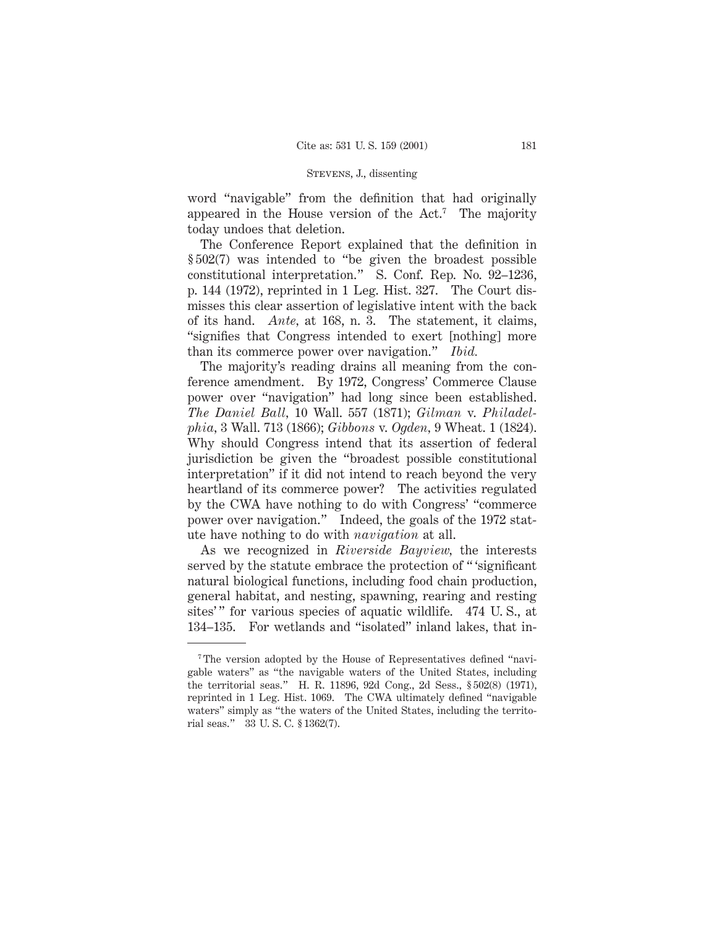word "navigable" from the definition that had originally appeared in the House version of the Act.7 The majority today undoes that deletion.

The Conference Report explained that the definition in § 502(7) was intended to "be given the broadest possible constitutional interpretation." S. Conf. Rep. No. 92–1236, p. 144 (1972), reprinted in 1 Leg. Hist. 327. The Court dismisses this clear assertion of legislative intent with the back of its hand. *Ante,* at 168, n. 3. The statement, it claims, "signifies that Congress intended to exert [nothing] more than its commerce power over navigation." *Ibid.*

The majority's reading drains all meaning from the conference amendment. By 1972, Congress' Commerce Clause power over "navigation" had long since been established. *The Daniel Ball,* 10 Wall. 557 (1871); *Gilman* v. *Philadelphia,* 3 Wall. 713 (1866); *Gibbons* v. *Ogden,* 9 Wheat. 1 (1824). Why should Congress intend that its assertion of federal jurisdiction be given the "broadest possible constitutional interpretation" if it did not intend to reach beyond the very heartland of its commerce power? The activities regulated by the CWA have nothing to do with Congress' "commerce power over navigation." Indeed, the goals of the 1972 statute have nothing to do with *navigation* at all.

As we recognized in *Riverside Bayview,* the interests served by the statute embrace the protection of " 'significant natural biological functions, including food chain production, general habitat, and nesting, spawning, rearing and resting sites'" for various species of aquatic wildlife. 474 U.S., at 134–135. For wetlands and "isolated" inland lakes, that in-

<sup>&</sup>lt;sup>7</sup>The version adopted by the House of Representatives defined "navigable waters" as "the navigable waters of the United States, including the territorial seas." H. R. 11896, 92d Cong., 2d Sess., § 502(8) (1971), reprinted in 1 Leg. Hist. 1069. The CWA ultimately defined "navigable waters" simply as "the waters of the United States, including the territorial seas." 33 U. S. C. § 1362(7).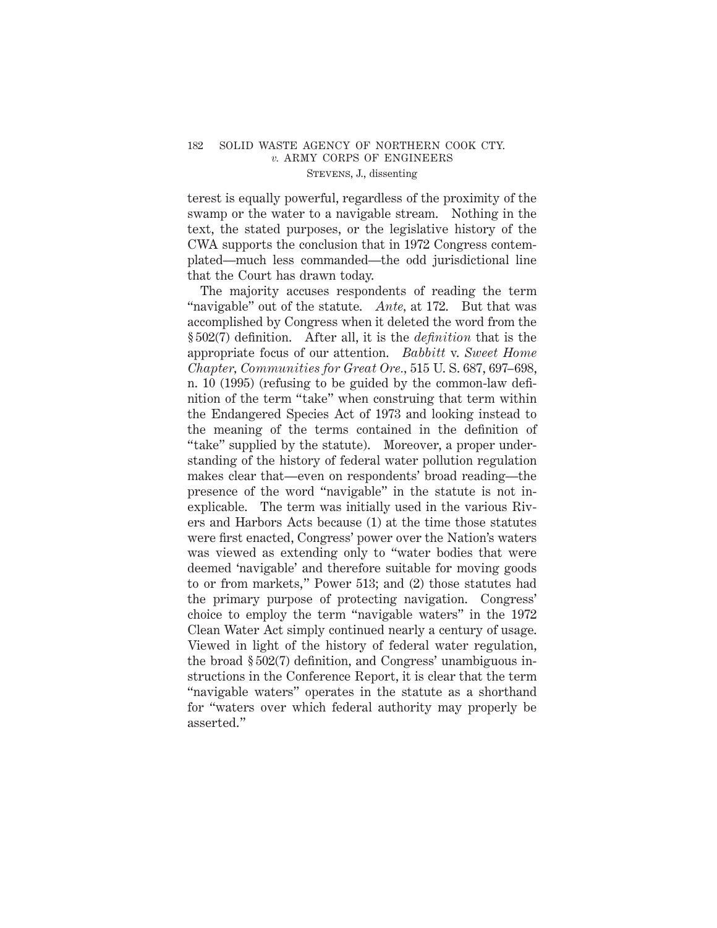terest is equally powerful, regardless of the proximity of the swamp or the water to a navigable stream. Nothing in the text, the stated purposes, or the legislative history of the CWA supports the conclusion that in 1972 Congress contemplated—much less commanded—the odd jurisdictional line that the Court has drawn today.

The majority accuses respondents of reading the term "navigable" out of the statute. *Ante,* at 172. But that was accomplished by Congress when it deleted the word from the § 502(7) definition. After all, it is the *definition* that is the appropriate focus of our attention. *Babbitt* v. *Sweet Home Chapter, Communities for Great Ore.,* 515 U. S. 687, 697–698, n. 10 (1995) (refusing to be guided by the common-law definition of the term "take" when construing that term within the Endangered Species Act of 1973 and looking instead to the meaning of the terms contained in the definition of "take" supplied by the statute). Moreover, a proper understanding of the history of federal water pollution regulation makes clear that—even on respondents' broad reading—the presence of the word "navigable" in the statute is not inexplicable. The term was initially used in the various Rivers and Harbors Acts because (1) at the time those statutes were first enacted, Congress' power over the Nation's waters was viewed as extending only to "water bodies that were deemed 'navigable' and therefore suitable for moving goods to or from markets," Power 513; and (2) those statutes had the primary purpose of protecting navigation. Congress' choice to employ the term "navigable waters" in the 1972 Clean Water Act simply continued nearly a century of usage. Viewed in light of the history of federal water regulation, the broad § 502(7) definition, and Congress' unambiguous instructions in the Conference Report, it is clear that the term "navigable waters" operates in the statute as a shorthand for "waters over which federal authority may properly be asserted."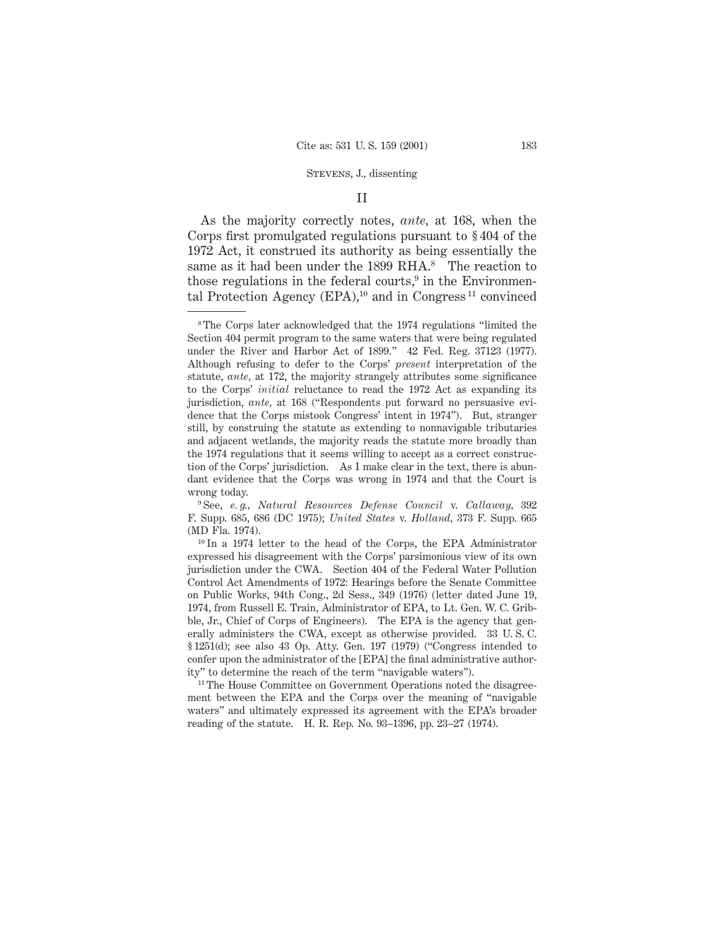#### II

As the majority correctly notes, *ante,* at 168, when the Corps first promulgated regulations pursuant to § 404 of the 1972 Act, it construed its authority as being essentially the same as it had been under the 1899 RHA.<sup>8</sup> The reaction to those regulations in the federal courts, $9$  in the Environmental Protection Agency (EPA),<sup>10</sup> and in Congress<sup>11</sup> convinced

<sup>&</sup>lt;sup>8</sup>The Corps later acknowledged that the 1974 regulations "limited the Section 404 permit program to the same waters that were being regulated under the River and Harbor Act of 1899." 42 Fed. Reg. 37123 (1977). Although refusing to defer to the Corps' *present* interpretation of the statute, *ante,* at 172, the majority strangely attributes some significance to the Corps' *initial* reluctance to read the 1972 Act as expanding its jurisdiction, *ante,* at 168 ("Respondents put forward no persuasive evidence that the Corps mistook Congress' intent in 1974"). But, stranger still, by construing the statute as extending to nonnavigable tributaries and adjacent wetlands, the majority reads the statute more broadly than the 1974 regulations that it seems willing to accept as a correct construction of the Corps' jurisdiction. As I make clear in the text, there is abundant evidence that the Corps was wrong in 1974 and that the Court is wrong today.

<sup>9</sup> See, *e. g., Natural Resources Defense Council* v. *Callaway,* 392 F. Supp. 685, 686 (DC 1975); *United States* v. *Holland,* 373 F. Supp. 665 (MD Fla. 1974).

<sup>10</sup> In a 1974 letter to the head of the Corps, the EPA Administrator expressed his disagreement with the Corps' parsimonious view of its own jurisdiction under the CWA. Section 404 of the Federal Water Pollution Control Act Amendments of 1972: Hearings before the Senate Committee on Public Works, 94th Cong., 2d Sess., 349 (1976) (letter dated June 19, 1974, from Russell E. Train, Administrator of EPA, to Lt. Gen. W. C. Gribble, Jr., Chief of Corps of Engineers). The EPA is the agency that generally administers the CWA, except as otherwise provided. 33 U. S. C. § 1251(d); see also 43 Op. Atty. Gen. 197 (1979) ("Congress intended to confer upon the administrator of the [EPA] the final administrative authority" to determine the reach of the term "navigable waters").

<sup>&</sup>lt;sup>11</sup> The House Committee on Government Operations noted the disagreement between the EPA and the Corps over the meaning of "navigable waters" and ultimately expressed its agreement with the EPA's broader reading of the statute. H. R. Rep. No. 93–1396, pp. 23–27 (1974).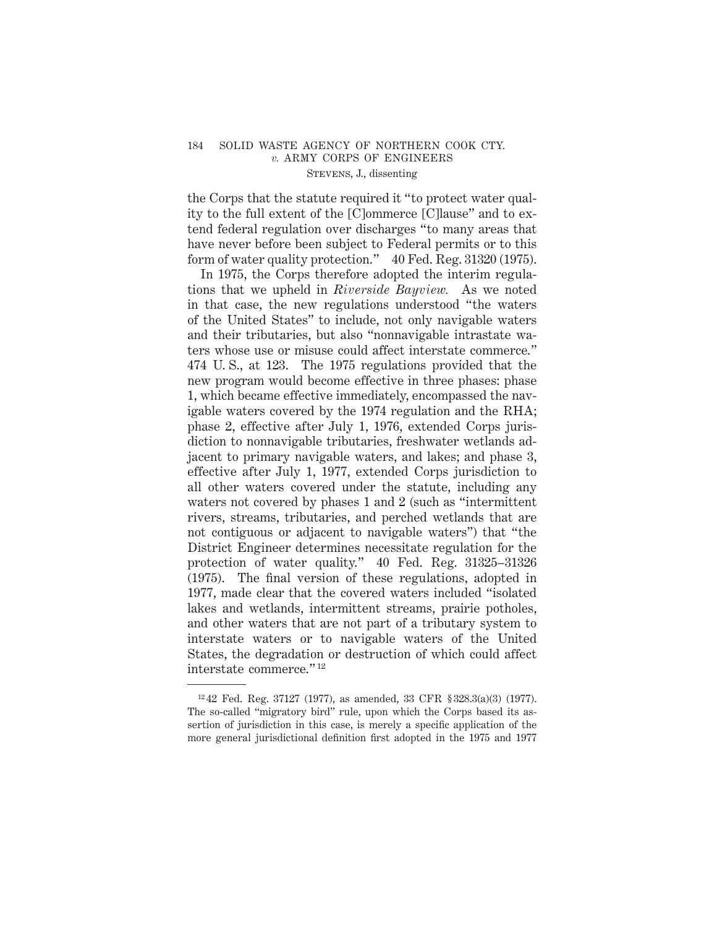the Corps that the statute required it "to protect water quality to the full extent of the [C]ommerce [C]lause" and to extend federal regulation over discharges "to many areas that have never before been subject to Federal permits or to this form of water quality protection." 40 Fed. Reg. 31320 (1975).

In 1975, the Corps therefore adopted the interim regulations that we upheld in *Riverside Bayview.* As we noted in that case, the new regulations understood "the waters of the United States" to include, not only navigable waters and their tributaries, but also "nonnavigable intrastate waters whose use or misuse could affect interstate commerce." 474 U. S., at 123. The 1975 regulations provided that the new program would become effective in three phases: phase 1, which became effective immediately, encompassed the navigable waters covered by the 1974 regulation and the RHA; phase 2, effective after July 1, 1976, extended Corps jurisdiction to nonnavigable tributaries, freshwater wetlands adjacent to primary navigable waters, and lakes; and phase 3, effective after July 1, 1977, extended Corps jurisdiction to all other waters covered under the statute, including any waters not covered by phases 1 and 2 (such as "intermittent rivers, streams, tributaries, and perched wetlands that are not contiguous or adjacent to navigable waters") that "the District Engineer determines necessitate regulation for the protection of water quality." 40 Fed. Reg. 31325–31326 (1975). The final version of these regulations, adopted in 1977, made clear that the covered waters included "isolated lakes and wetlands, intermittent streams, prairie potholes, and other waters that are not part of a tributary system to interstate waters or to navigable waters of the United States, the degradation or destruction of which could affect interstate commerce." <sup>12</sup>

<sup>12</sup> 42 Fed. Reg. 37127 (1977), as amended, 33 CFR § 328.3(a)(3) (1977). The so-called "migratory bird" rule, upon which the Corps based its assertion of jurisdiction in this case, is merely a specific application of the more general jurisdictional definition first adopted in the 1975 and 1977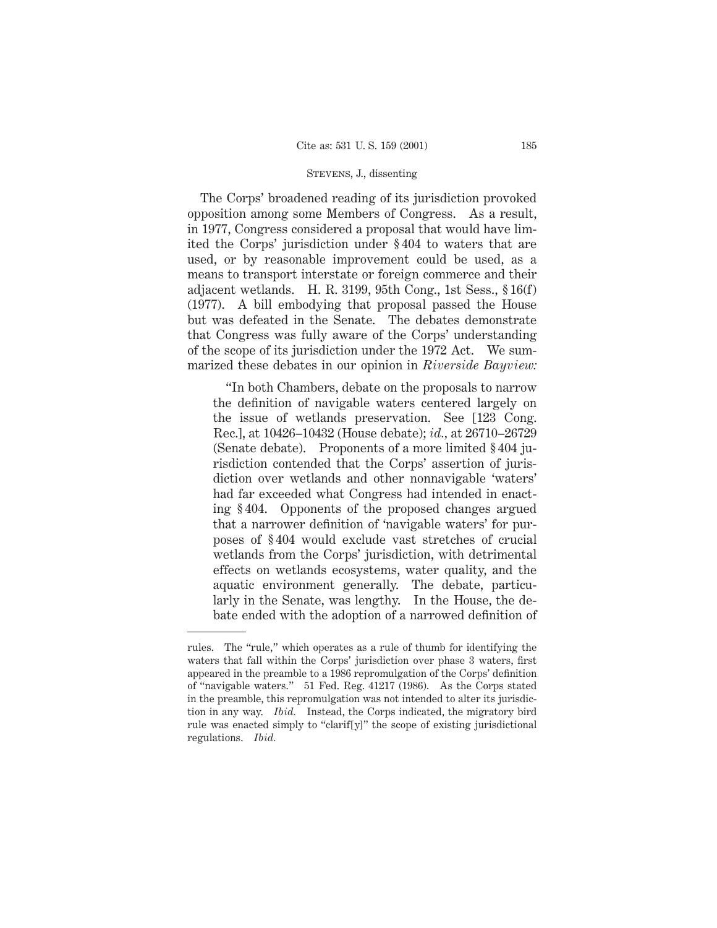The Corps' broadened reading of its jurisdiction provoked opposition among some Members of Congress. As a result, in 1977, Congress considered a proposal that would have limited the Corps' jurisdiction under § 404 to waters that are used, or by reasonable improvement could be used, as a means to transport interstate or foreign commerce and their adjacent wetlands. H. R. 3199, 95th Cong., 1st Sess., § 16(f) (1977). A bill embodying that proposal passed the House but was defeated in the Senate. The debates demonstrate that Congress was fully aware of the Corps' understanding of the scope of its jurisdiction under the 1972 Act. We summarized these debates in our opinion in *Riverside Bayview:*

"In both Chambers, debate on the proposals to narrow the definition of navigable waters centered largely on the issue of wetlands preservation. See [123 Cong. Rec.], at 10426–10432 (House debate); *id.,* at 26710–26729 (Senate debate). Proponents of a more limited § 404 jurisdiction contended that the Corps' assertion of jurisdiction over wetlands and other nonnavigable 'waters' had far exceeded what Congress had intended in enacting § 404. Opponents of the proposed changes argued that a narrower definition of 'navigable waters' for purposes of § 404 would exclude vast stretches of crucial wetlands from the Corps' jurisdiction, with detrimental effects on wetlands ecosystems, water quality, and the aquatic environment generally. The debate, particularly in the Senate, was lengthy. In the House, the debate ended with the adoption of a narrowed definition of

rules. The "rule," which operates as a rule of thumb for identifying the waters that fall within the Corps' jurisdiction over phase 3 waters, first appeared in the preamble to a 1986 repromulgation of the Corps' definition of "navigable waters." 51 Fed. Reg. 41217 (1986). As the Corps stated in the preamble, this repromulgation was not intended to alter its jurisdiction in any way. *Ibid.* Instead, the Corps indicated, the migratory bird rule was enacted simply to "clarif[y]" the scope of existing jurisdictional regulations. *Ibid.*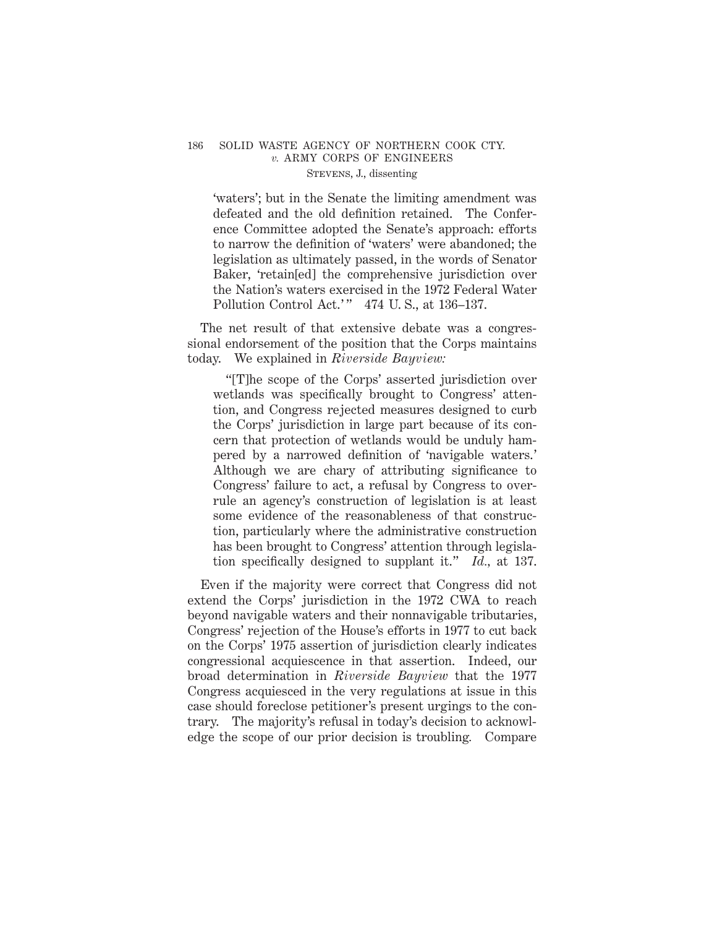'waters'; but in the Senate the limiting amendment was defeated and the old definition retained. The Conference Committee adopted the Senate's approach: efforts to narrow the definition of 'waters' were abandoned; the legislation as ultimately passed, in the words of Senator Baker, 'retain[ed] the comprehensive jurisdiction over the Nation's waters exercised in the 1972 Federal Water Pollution Control Act.'" 474 U.S., at 136-137.

The net result of that extensive debate was a congressional endorsement of the position that the Corps maintains today. We explained in *Riverside Bayview:*

"[T]he scope of the Corps' asserted jurisdiction over wetlands was specifically brought to Congress' attention, and Congress rejected measures designed to curb the Corps' jurisdiction in large part because of its concern that protection of wetlands would be unduly hampered by a narrowed definition of 'navigable waters.' Although we are chary of attributing significance to Congress' failure to act, a refusal by Congress to overrule an agency's construction of legislation is at least some evidence of the reasonableness of that construction, particularly where the administrative construction has been brought to Congress' attention through legislation specifically designed to supplant it." *Id.,* at 137.

Even if the majority were correct that Congress did not extend the Corps' jurisdiction in the 1972 CWA to reach beyond navigable waters and their nonnavigable tributaries, Congress' rejection of the House's efforts in 1977 to cut back on the Corps' 1975 assertion of jurisdiction clearly indicates congressional acquiescence in that assertion. Indeed, our broad determination in *Riverside Bayview* that the 1977 Congress acquiesced in the very regulations at issue in this case should foreclose petitioner's present urgings to the contrary. The majority's refusal in today's decision to acknowledge the scope of our prior decision is troubling*.* Compare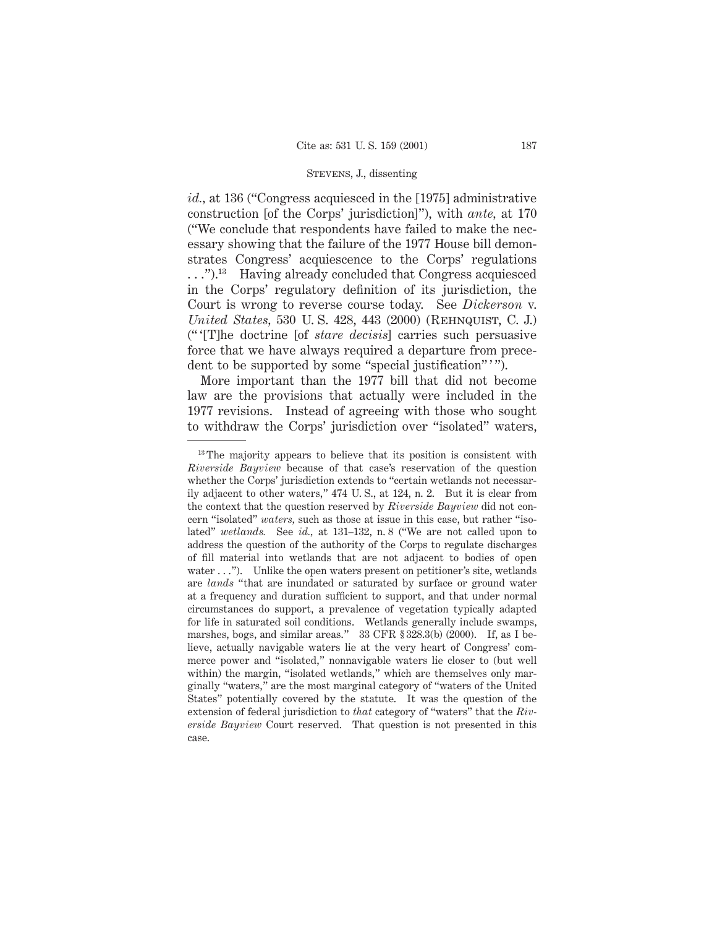*id.,* at 136 ("Congress acquiesced in the [1975] administrative construction [of the Corps' jurisdiction]"), with *ante,* at 170 ("We conclude that respondents have failed to make the necessary showing that the failure of the 1977 House bill demonstrates Congress' acquiescence to the Corps' regulations . . .").13 Having already concluded that Congress acquiesced in the Corps' regulatory definition of its jurisdiction, the Court is wrong to reverse course today. See *Dickerson* v. *United States,* 530 U.S. 428, 443 (2000) (REHNQUIST, C. J.) (" '[T]he doctrine [of *stare decisis*] carries such persuasive force that we have always required a departure from precedent to be supported by some "special justification"'".

More important than the 1977 bill that did not become law are the provisions that actually were included in the 1977 revisions. Instead of agreeing with those who sought to withdraw the Corps' jurisdiction over "isolated" waters,

<sup>&</sup>lt;sup>13</sup> The majority appears to believe that its position is consistent with *Riverside Bayview* because of that case's reservation of the question whether the Corps' jurisdiction extends to "certain wetlands not necessarily adjacent to other waters," 474 U. S., at 124, n. 2. But it is clear from the context that the question reserved by *Riverside Bayview* did not concern "isolated" *waters,* such as those at issue in this case, but rather "isolated" *wetlands.* See *id.,* at 131–132, n. 8 ("We are not called upon to address the question of the authority of the Corps to regulate discharges of fill material into wetlands that are not adjacent to bodies of open water  $\dots$ "). Unlike the open waters present on petitioner's site, wetlands are *lands* "that are inundated or saturated by surface or ground water at a frequency and duration sufficient to support, and that under normal circumstances do support, a prevalence of vegetation typically adapted for life in saturated soil conditions. Wetlands generally include swamps, marshes, bogs, and similar areas." 33 CFR § 328.3(b) (2000). If, as I believe, actually navigable waters lie at the very heart of Congress' commerce power and "isolated," nonnavigable waters lie closer to (but well within) the margin, "isolated wetlands," which are themselves only marginally "waters," are the most marginal category of "waters of the United States" potentially covered by the statute. It was the question of the extension of federal jurisdiction to *that* category of "waters" that the *Riverside Bayview* Court reserved. That question is not presented in this case.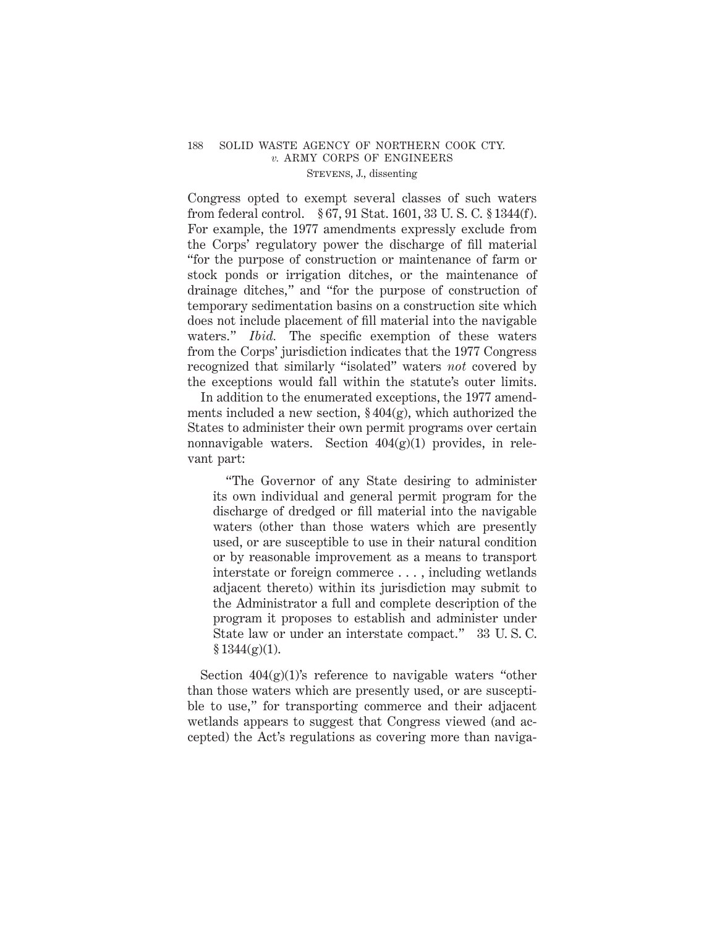Congress opted to exempt several classes of such waters from federal control. § 67, 91 Stat. 1601, 33 U. S. C. § 1344(f). For example, the 1977 amendments expressly exclude from the Corps' regulatory power the discharge of fill material "for the purpose of construction or maintenance of farm or stock ponds or irrigation ditches, or the maintenance of drainage ditches," and "for the purpose of construction of temporary sedimentation basins on a construction site which does not include placement of fill material into the navigable waters." *Ibid.* The specific exemption of these waters from the Corps' jurisdiction indicates that the 1977 Congress recognized that similarly "isolated" waters *not* covered by the exceptions would fall within the statute's outer limits.

In addition to the enumerated exceptions, the 1977 amendments included a new section,  $\S 404(g)$ , which authorized the States to administer their own permit programs over certain nonnavigable waters. Section  $404(g)(1)$  provides, in relevant part:

"The Governor of any State desiring to administer its own individual and general permit program for the discharge of dredged or fill material into the navigable waters (other than those waters which are presently used, or are susceptible to use in their natural condition or by reasonable improvement as a means to transport interstate or foreign commerce ..., including wetlands adjacent thereto) within its jurisdiction may submit to the Administrator a full and complete description of the program it proposes to establish and administer under State law or under an interstate compact." 33 U. S. C.  $$1344(g)(1).$ 

Section  $404(g)(1)$ 's reference to navigable waters "other than those waters which are presently used, or are susceptible to use," for transporting commerce and their adjacent wetlands appears to suggest that Congress viewed (and accepted) the Act's regulations as covering more than naviga-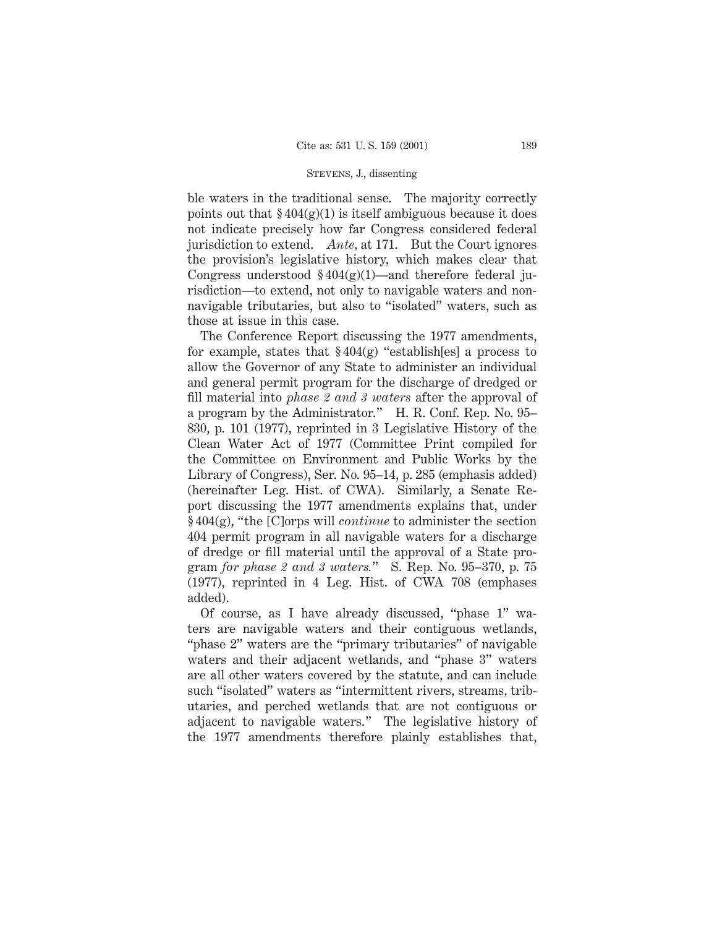ble waters in the traditional sense. The majority correctly points out that  $\frac{2404(g)(1)}{g}$  is itself ambiguous because it does not indicate precisely how far Congress considered federal jurisdiction to extend. *Ante,* at 171. But the Court ignores the provision's legislative history, which makes clear that Congress understood  $\frac{6}{404(g)(1)}$ —and therefore federal jurisdiction—to extend, not only to navigable waters and nonnavigable tributaries, but also to "isolated" waters, such as those at issue in this case.

The Conference Report discussing the 1977 amendments, for example, states that  $\S 404(g)$  "establish[es] a process to allow the Governor of any State to administer an individual and general permit program for the discharge of dredged or fill material into *phase 2 and 3 waters* after the approval of a program by the Administrator." H. R. Conf. Rep. No. 95– 830, p. 101 (1977), reprinted in 3 Legislative History of the Clean Water Act of 1977 (Committee Print compiled for the Committee on Environment and Public Works by the Library of Congress), Ser. No. 95–14, p. 285 (emphasis added) (hereinafter Leg. Hist. of CWA). Similarly, a Senate Report discussing the 1977 amendments explains that, under § 404(g), "the [C]orps will *continue* to administer the section 404 permit program in all navigable waters for a discharge of dredge or fill material until the approval of a State program *for phase 2 and 3 waters.*" S. Rep. No. 95–370, p. 75 (1977), reprinted in 4 Leg. Hist. of CWA 708 (emphases added).

Of course, as I have already discussed, "phase 1" waters are navigable waters and their contiguous wetlands, "phase 2" waters are the "primary tributaries" of navigable waters and their adjacent wetlands, and "phase 3" waters are all other waters covered by the statute, and can include such "isolated" waters as "intermittent rivers, streams, tributaries, and perched wetlands that are not contiguous or adjacent to navigable waters." The legislative history of the 1977 amendments therefore plainly establishes that,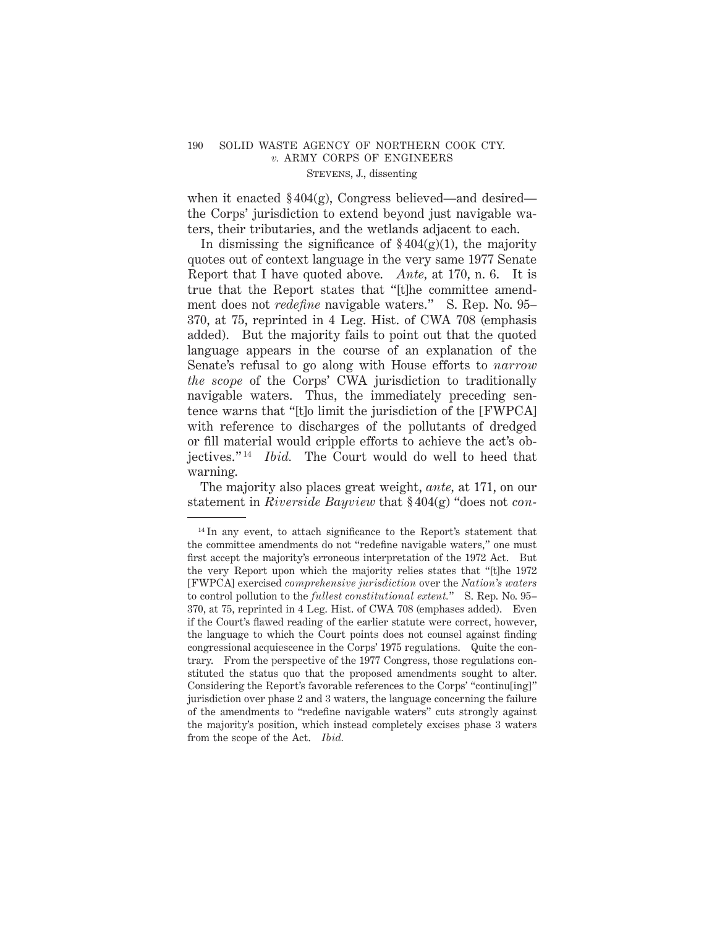when it enacted  $\S 404(g)$ , Congress believed—and desired the Corps' jurisdiction to extend beyond just navigable waters, their tributaries, and the wetlands adjacent to each.

In dismissing the significance of  $\frac{6404(g)(1)}{h}$ , the majority quotes out of context language in the very same 1977 Senate Report that I have quoted above. *Ante,* at 170, n. 6. It is true that the Report states that "[t]he committee amendment does not *redefine* navigable waters." S. Rep. No. 95– 370, at 75, reprinted in 4 Leg. Hist. of CWA 708 (emphasis added). But the majority fails to point out that the quoted language appears in the course of an explanation of the Senate's refusal to go along with House efforts to *narrow the scope* of the Corps' CWA jurisdiction to traditionally navigable waters. Thus, the immediately preceding sentence warns that "[t]o limit the jurisdiction of the [FWPCA] with reference to discharges of the pollutants of dredged or fill material would cripple efforts to achieve the act's objectives." <sup>14</sup> *Ibid.* The Court would do well to heed that warning.

The majority also places great weight, *ante,* at 171, on our statement in *Riverside Bayview* that § 404(g) "does not *con-*

<sup>&</sup>lt;sup>14</sup> In any event, to attach significance to the Report's statement that the committee amendments do not "redefine navigable waters," one must first accept the majority's erroneous interpretation of the 1972 Act. But the very Report upon which the majority relies states that "[t]he 1972 [FWPCA] exercised *comprehensive jurisdiction* over the *Nation's waters* to control pollution to the *fullest constitutional extent.*" S. Rep. No. 95– 370, at 75, reprinted in 4 Leg. Hist. of CWA 708 (emphases added). Even if the Court's flawed reading of the earlier statute were correct, however, the language to which the Court points does not counsel against finding congressional acquiescence in the Corps' 1975 regulations. Quite the contrary. From the perspective of the 1977 Congress, those regulations constituted the status quo that the proposed amendments sought to alter. Considering the Report's favorable references to the Corps' "continu[ing]" jurisdiction over phase 2 and 3 waters, the language concerning the failure of the amendments to "redefine navigable waters" cuts strongly against the majority's position, which instead completely excises phase 3 waters from the scope of the Act. *Ibid.*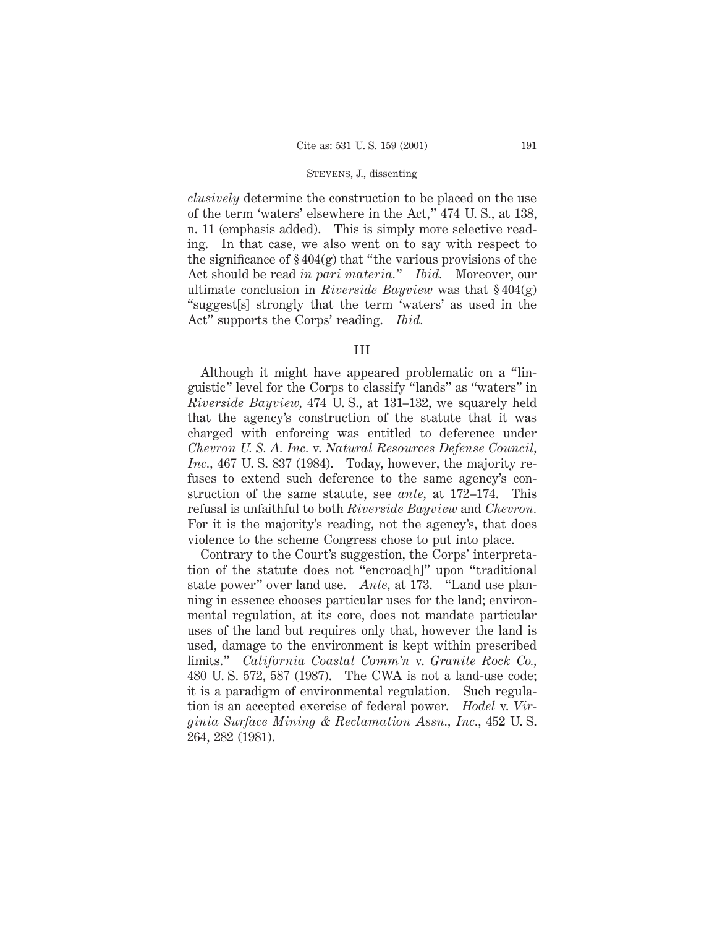*clusively* determine the construction to be placed on the use of the term 'waters' elsewhere in the Act," 474 U. S., at 138, n. 11 (emphasis added). This is simply more selective reading. In that case, we also went on to say with respect to the significance of  $\S 404(g)$  that "the various provisions of the Act should be read *in pari materia.*" *Ibid.* Moreover, our ultimate conclusion in *Riverside Bayview* was that § 404(g) "suggest[s] strongly that the term 'waters' as used in the Act" supports the Corps' reading. *Ibid.*

#### III

Although it might have appeared problematic on a "linguistic" level for the Corps to classify "lands" as "waters" in *Riverside Bayview,* 474 U. S., at 131–132, we squarely held that the agency's construction of the statute that it was charged with enforcing was entitled to deference under *Chevron U. S. A. Inc.* v. *Natural Resources Defense Council, Inc.,* 467 U. S. 837 (1984). Today, however, the majority refuses to extend such deference to the same agency's construction of the same statute, see *ante,* at 172–174. This refusal is unfaithful to both *Riverside Bayview* and *Chevron.* For it is the majority's reading, not the agency's, that does violence to the scheme Congress chose to put into place.

Contrary to the Court's suggestion, the Corps' interpretation of the statute does not "encroac[h]" upon "traditional state power" over land use. *Ante,* at 173. "Land use planning in essence chooses particular uses for the land; environmental regulation, at its core, does not mandate particular uses of the land but requires only that, however the land is used, damage to the environment is kept within prescribed limits." *California Coastal Comm'n* v. *Granite Rock Co.,* 480 U. S. 572, 587 (1987). The CWA is not a land-use code; it is a paradigm of environmental regulation. Such regulation is an accepted exercise of federal power. *Hodel* v. *Virginia Surface Mining & Reclamation Assn., Inc.,* 452 U. S. 264, 282 (1981).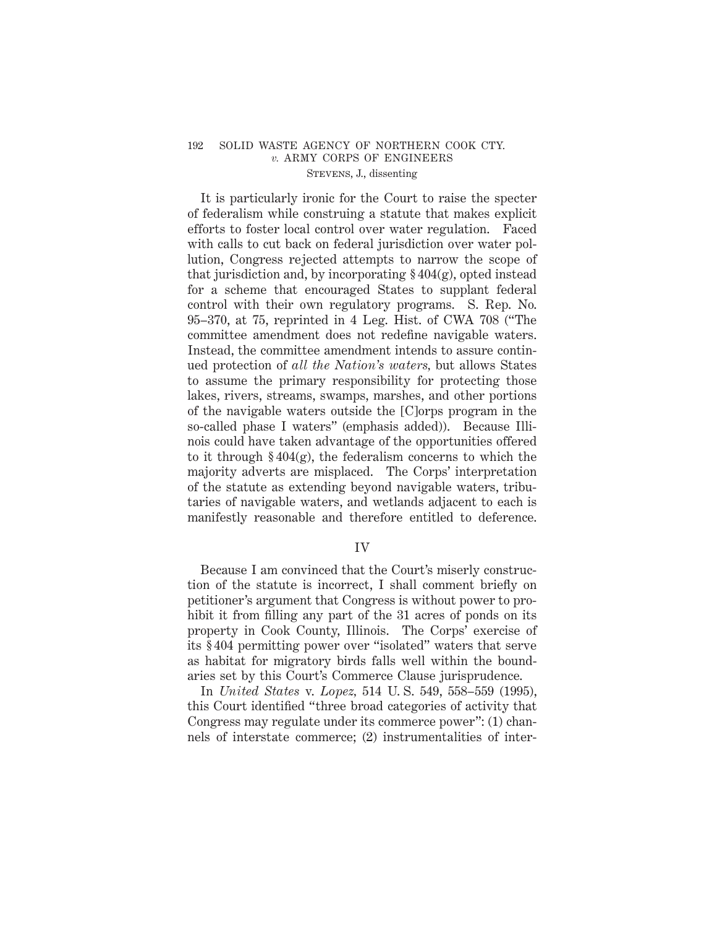It is particularly ironic for the Court to raise the specter of federalism while construing a statute that makes explicit efforts to foster local control over water regulation. Faced with calls to cut back on federal jurisdiction over water pollution, Congress rejected attempts to narrow the scope of that jurisdiction and, by incorporating  $\S 404(g)$ , opted instead for a scheme that encouraged States to supplant federal control with their own regulatory programs. S. Rep. No. 95–370, at 75, reprinted in 4 Leg. Hist. of CWA 708 ("The committee amendment does not redefine navigable waters. Instead, the committee amendment intends to assure continued protection of *all the Nation's waters,* but allows States to assume the primary responsibility for protecting those lakes, rivers, streams, swamps, marshes, and other portions of the navigable waters outside the [C]orps program in the so-called phase I waters" (emphasis added)). Because Illinois could have taken advantage of the opportunities offered to it through  $\S 404(g)$ , the federalism concerns to which the majority adverts are misplaced. The Corps' interpretation of the statute as extending beyond navigable waters, tributaries of navigable waters, and wetlands adjacent to each is manifestly reasonable and therefore entitled to deference.

## IV

Because I am convinced that the Court's miserly construction of the statute is incorrect, I shall comment briefly on petitioner's argument that Congress is without power to prohibit it from filling any part of the 31 acres of ponds on its property in Cook County, Illinois. The Corps' exercise of its § 404 permitting power over "isolated" waters that serve as habitat for migratory birds falls well within the boundaries set by this Court's Commerce Clause jurisprudence.

In *United States* v. *Lopez,* 514 U. S. 549, 558–559 (1995), this Court identified "three broad categories of activity that Congress may regulate under its commerce power": (1) channels of interstate commerce; (2) instrumentalities of inter-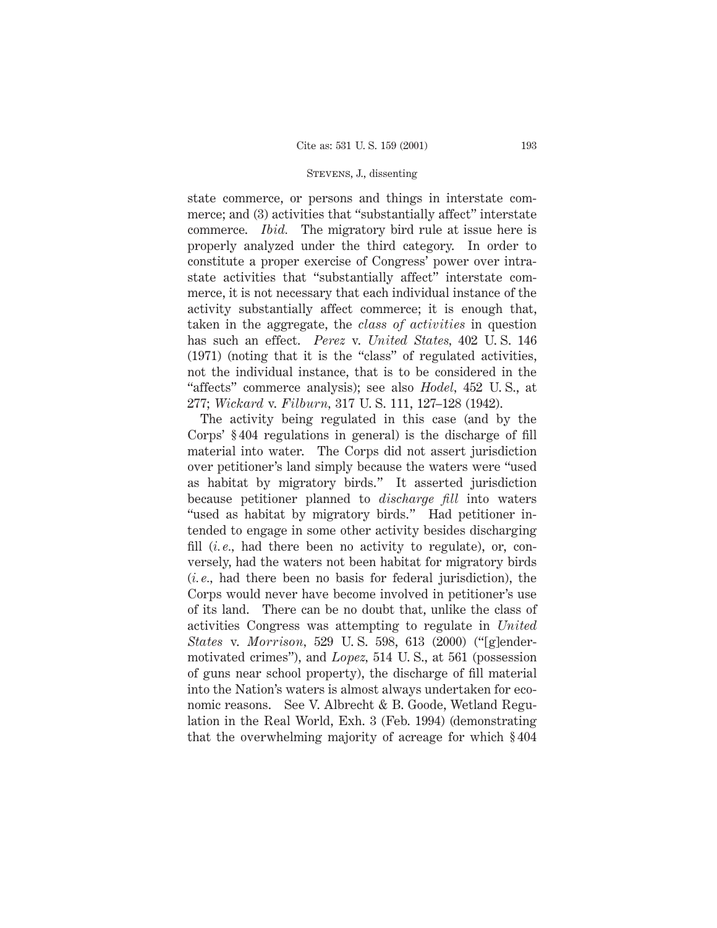state commerce, or persons and things in interstate commerce; and (3) activities that "substantially affect" interstate commerce. *Ibid.* The migratory bird rule at issue here is properly analyzed under the third category. In order to constitute a proper exercise of Congress' power over intrastate activities that "substantially affect" interstate commerce, it is not necessary that each individual instance of the activity substantially affect commerce; it is enough that, taken in the aggregate, the *class of activities* in question has such an effect. *Perez* v. *United States,* 402 U. S. 146 (1971) (noting that it is the "class" of regulated activities, not the individual instance, that is to be considered in the "affects" commerce analysis); see also *Hodel,* 452 U. S., at 277; *Wickard* v. *Filburn,* 317 U. S. 111, 127–128 (1942).

The activity being regulated in this case (and by the Corps' § 404 regulations in general) is the discharge of fill material into water. The Corps did not assert jurisdiction over petitioner's land simply because the waters were "used as habitat by migratory birds." It asserted jurisdiction because petitioner planned to *discharge fill* into waters "used as habitat by migratory birds." Had petitioner intended to engage in some other activity besides discharging fill (*i.e.*, had there been no activity to regulate), or, conversely, had the waters not been habitat for migratory birds (*i. e.,* had there been no basis for federal jurisdiction), the Corps would never have become involved in petitioner's use of its land. There can be no doubt that, unlike the class of activities Congress was attempting to regulate in *United States* v. *Morrison,* 529 U. S. 598, 613 (2000) ("[g]endermotivated crimes"), and *Lopez,* 514 U. S., at 561 (possession of guns near school property), the discharge of fill material into the Nation's waters is almost always undertaken for economic reasons. See V. Albrecht & B. Goode, Wetland Regulation in the Real World, Exh. 3 (Feb. 1994) (demonstrating that the overwhelming majority of acreage for which § 404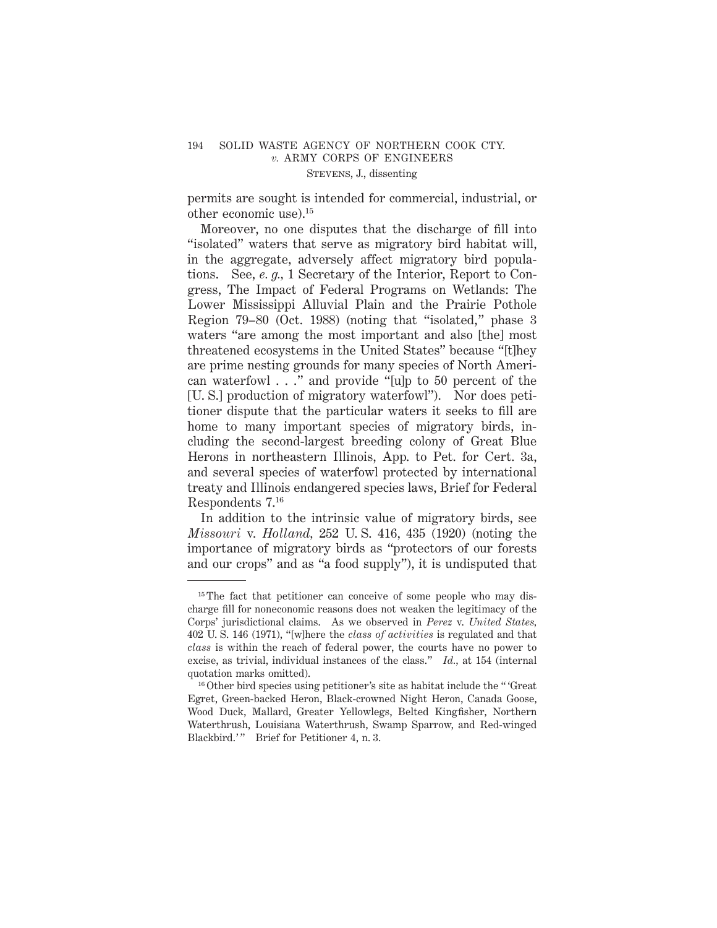permits are sought is intended for commercial, industrial, or other economic use).15

Moreover, no one disputes that the discharge of fill into "isolated" waters that serve as migratory bird habitat will, in the aggregate, adversely affect migratory bird populations. See, *e. g.,* 1 Secretary of the Interior, Report to Congress, The Impact of Federal Programs on Wetlands: The Lower Mississippi Alluvial Plain and the Prairie Pothole Region 79–80 (Oct. 1988) (noting that "isolated," phase 3 waters "are among the most important and also [the] most threatened ecosystems in the United States" because "[t]hey are prime nesting grounds for many species of North American waterfowl . . ." and provide "[u]p to 50 percent of the [U. S.] production of migratory waterfowl"). Nor does petitioner dispute that the particular waters it seeks to fill are home to many important species of migratory birds, including the second-largest breeding colony of Great Blue Herons in northeastern Illinois, App. to Pet. for Cert. 3a, and several species of waterfowl protected by international treaty and Illinois endangered species laws, Brief for Federal Respondents 7.16

In addition to the intrinsic value of migratory birds, see *Missouri* v. *Holland,* 252 U. S. 416, 435 (1920) (noting the importance of migratory birds as "protectors of our forests and our crops" and as "a food supply"), it is undisputed that

<sup>&</sup>lt;sup>15</sup> The fact that petitioner can conceive of some people who may discharge fill for noneconomic reasons does not weaken the legitimacy of the Corps' jurisdictional claims. As we observed in *Perez* v. *United States,* 402 U. S. 146 (1971), "[w]here the *class of activities* is regulated and that *class* is within the reach of federal power, the courts have no power to excise, as trivial, individual instances of the class." *Id.,* at 154 (internal quotation marks omitted).

<sup>16</sup> Other bird species using petitioner's site as habitat include the " 'Great Egret, Green-backed Heron, Black-crowned Night Heron, Canada Goose, Wood Duck, Mallard, Greater Yellowlegs, Belted Kingfisher, Northern Waterthrush, Louisiana Waterthrush, Swamp Sparrow, and Red-winged Blackbird.'" Brief for Petitioner 4, n. 3.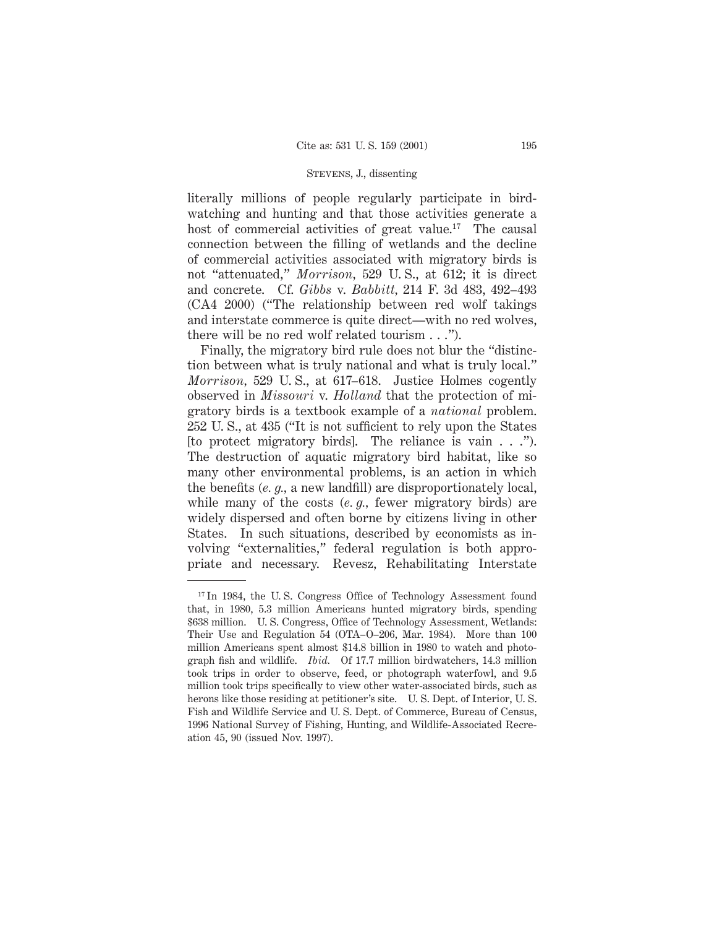literally millions of people regularly participate in birdwatching and hunting and that those activities generate a host of commercial activities of great value.<sup>17</sup> The causal connection between the filling of wetlands and the decline of commercial activities associated with migratory birds is not "attenuated," *Morrison,* 529 U. S., at 612; it is direct and concrete. Cf. *Gibbs* v. *Babbitt,* 214 F. 3d 483, 492–493 (CA4 2000) ("The relationship between red wolf takings and interstate commerce is quite direct—with no red wolves, there will be no red wolf related tourism . . .").

Finally, the migratory bird rule does not blur the "distinction between what is truly national and what is truly local." *Morrison,* 529 U. S., at 617–618. Justice Holmes cogently observed in *Missouri* v. *Holland* that the protection of migratory birds is a textbook example of a *national* problem. 252 U. S., at 435 ("It is not sufficient to rely upon the States [to protect migratory birds]. The reliance is vain . . ."). The destruction of aquatic migratory bird habitat, like so many other environmental problems, is an action in which the benefits (*e. g.,* a new landfill) are disproportionately local, while many of the costs (*e. g.,* fewer migratory birds) are widely dispersed and often borne by citizens living in other States. In such situations, described by economists as involving "externalities," federal regulation is both appropriate and necessary. Revesz, Rehabilitating Interstate

<sup>&</sup>lt;sup>17</sup> In 1984, the U.S. Congress Office of Technology Assessment found that, in 1980, 5.3 million Americans hunted migratory birds, spending \$638 million. U. S. Congress, Office of Technology Assessment, Wetlands: Their Use and Regulation 54 (OTA–O–206, Mar. 1984). More than 100 million Americans spent almost \$14.8 billion in 1980 to watch and photograph fish and wildlife. *Ibid.* Of 17.7 million birdwatchers, 14.3 million took trips in order to observe, feed, or photograph waterfowl, and 9.5 million took trips specifically to view other water-associated birds, such as herons like those residing at petitioner's site. U. S. Dept. of Interior, U. S. Fish and Wildlife Service and U. S. Dept. of Commerce, Bureau of Census, 1996 National Survey of Fishing, Hunting, and Wildlife-Associated Recreation 45, 90 (issued Nov. 1997).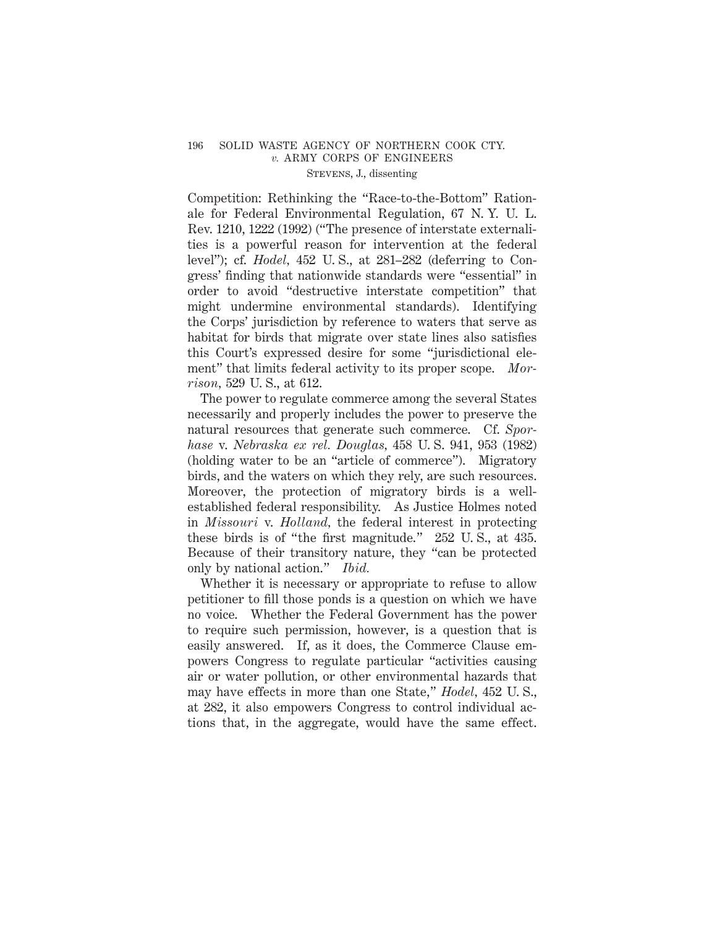Competition: Rethinking the "Race-to-the-Bottom" Rationale for Federal Environmental Regulation, 67 N. Y. U. L. Rev. 1210, 1222 (1992) ("The presence of interstate externalities is a powerful reason for intervention at the federal level"); cf. *Hodel,* 452 U. S., at 281–282 (deferring to Congress' finding that nationwide standards were "essential" in order to avoid "destructive interstate competition" that might undermine environmental standards). Identifying the Corps' jurisdiction by reference to waters that serve as habitat for birds that migrate over state lines also satisfies this Court's expressed desire for some "jurisdictional element" that limits federal activity to its proper scope. *Morrison,* 529 U. S., at 612.

The power to regulate commerce among the several States necessarily and properly includes the power to preserve the natural resources that generate such commerce. Cf. *Sporhase* v. *Nebraska ex rel. Douglas,* 458 U. S. 941, 953 (1982) (holding water to be an "article of commerce"). Migratory birds, and the waters on which they rely, are such resources. Moreover, the protection of migratory birds is a wellestablished federal responsibility. As Justice Holmes noted in *Missouri* v. *Holland,* the federal interest in protecting these birds is of "the first magnitude." 252 U. S., at 435. Because of their transitory nature, they "can be protected only by national action." *Ibid.*

Whether it is necessary or appropriate to refuse to allow petitioner to fill those ponds is a question on which we have no voice. Whether the Federal Government has the power to require such permission, however, is a question that is easily answered. If, as it does, the Commerce Clause empowers Congress to regulate particular "activities causing air or water pollution, or other environmental hazards that may have effects in more than one State," *Hodel,* 452 U. S., at 282, it also empowers Congress to control individual actions that, in the aggregate, would have the same effect.